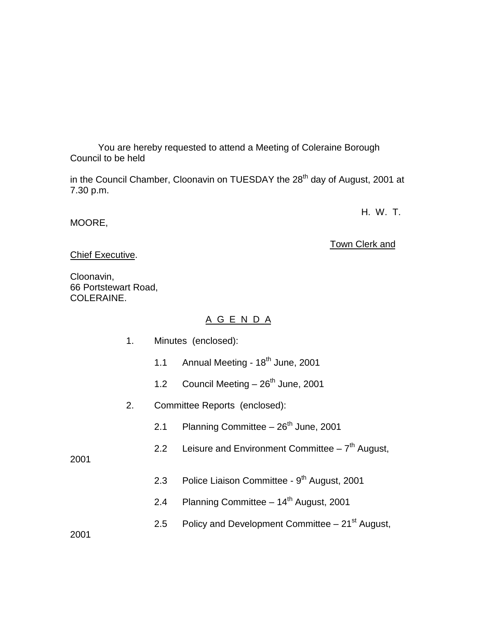You are hereby requested to attend a Meeting of Coleraine Borough Council to be held

in the Council Chamber, Cloonavin on TUESDAY the 28<sup>th</sup> day of August, 2001 at 7.30 p.m.

H. W. T.

MOORE,

Town Clerk and

Chief Executive.

Cloonavin, 66 Portstewart Road, COLERAINE.

# A G E N D A

| Minutes (enclosed): |
|---------------------|
|                     |

- 1.1 Annual Meeting  $18<sup>th</sup>$  June, 2001
- 1.2 Council Meeting  $-26<sup>th</sup>$  June, 2001
- 2. Committee Reports (enclosed):
	- 2.1 Planning Committee  $-26<sup>th</sup>$  June, 2001
	- 2.2 Leisure and Environment Committee  $-7<sup>th</sup>$  August,

2001

- 2.3 Police Liaison Committee 9<sup>th</sup> August, 2001
- 2.4 Planning Committee  $14<sup>th</sup>$  August, 2001
- 2.5 Policy and Development Committee  $-21<sup>st</sup>$  August,

2001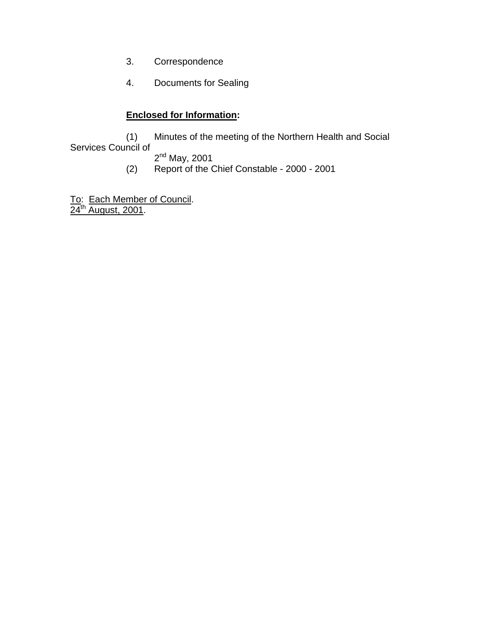- 3. Correspondence
- 4. Documents for Sealing

# **Enclosed for Information:**

(1) Minutes of the meeting of the Northern Health and Social Services Council of

 $2<sup>nd</sup>$  May, 2001

(2) Report of the Chief Constable - 2000 - 2001

To: Each Member of Council.  $24^{\text{th}}$  August, 2001.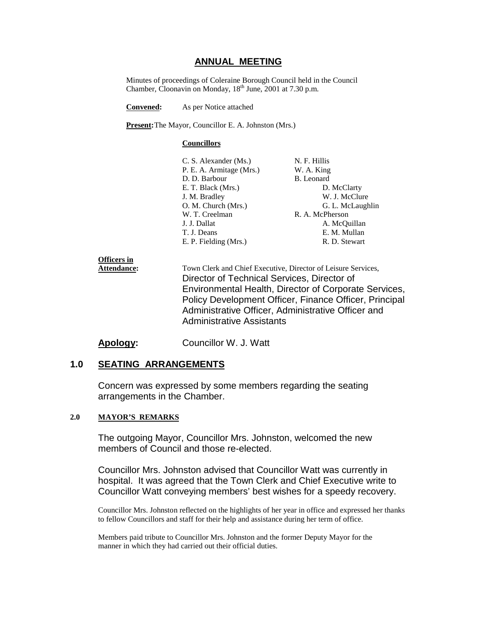### **ANNUAL MEETING**

Minutes of proceedings of Coleraine Borough Council held in the Council Chamber, Cloonavin on Monday,  $18<sup>th</sup>$  June, 2001 at 7.30 p.m.

**Convened:** As per Notice attached

**Present:**The Mayor, Councillor E. A. Johnston (Mrs.)

#### **Councillors**

| N. F. Hillis     |
|------------------|
| W. A. King       |
| B. Leonard       |
| D. McClarty      |
| W. J. McClure    |
| G. L. McLaughlin |
| R. A. McPherson  |
| A. McQuillan     |
| E. M. Mullan     |
| R. D. Stewart    |
|                  |

## **Officers in Attendance:** Town Clerk and Chief Executive, Director of Leisure Services, Director of Technical Services, Director of Environmental Health, Director of Corporate Services, Policy Development Officer, Finance Officer, Principal Administrative Officer, Administrative Officer and Administrative Assistants

### **Apology:** Councillor W. J. Watt

### **1.0 SEATING ARRANGEMENTS**

Concern was expressed by some members regarding the seating arrangements in the Chamber.

#### **2.0 MAYOR'S REMARKS**

The outgoing Mayor, Councillor Mrs. Johnston, welcomed the new members of Council and those re-elected.

Councillor Mrs. Johnston advised that Councillor Watt was currently in hospital. It was agreed that the Town Clerk and Chief Executive write to Councillor Watt conveying members' best wishes for a speedy recovery.

Councillor Mrs. Johnston reflected on the highlights of her year in office and expressed her thanks to fellow Councillors and staff for their help and assistance during her term of office.

Members paid tribute to Councillor Mrs. Johnston and the former Deputy Mayor for the manner in which they had carried out their official duties.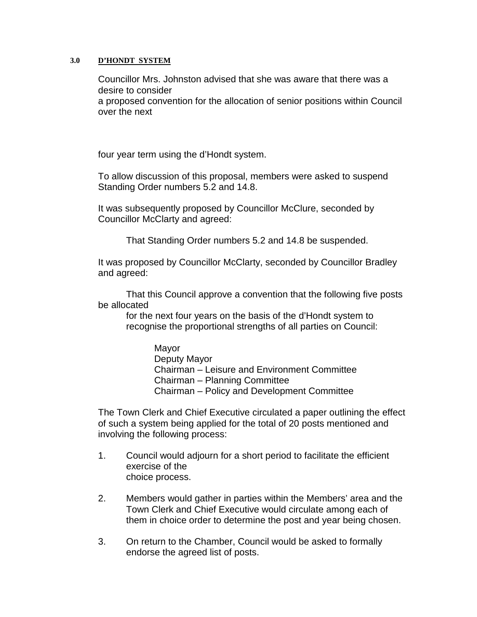### **3.0 D'HONDT SYSTEM**

Councillor Mrs. Johnston advised that she was aware that there was a desire to consider a proposed convention for the allocation of senior positions within Council over the next

four year term using the d'Hondt system.

To allow discussion of this proposal, members were asked to suspend Standing Order numbers 5.2 and 14.8.

It was subsequently proposed by Councillor McClure, seconded by Councillor McClarty and agreed:

That Standing Order numbers 5.2 and 14.8 be suspended.

It was proposed by Councillor McClarty, seconded by Councillor Bradley and agreed:

That this Council approve a convention that the following five posts be allocated

for the next four years on the basis of the d'Hondt system to recognise the proportional strengths of all parties on Council:

> Mayor Deputy Mayor Chairman – Leisure and Environment Committee Chairman – Planning Committee Chairman – Policy and Development Committee

The Town Clerk and Chief Executive circulated a paper outlining the effect of such a system being applied for the total of 20 posts mentioned and involving the following process:

- 1. Council would adjourn for a short period to facilitate the efficient exercise of the choice process.
- 2. Members would gather in parties within the Members' area and the Town Clerk and Chief Executive would circulate among each of them in choice order to determine the post and year being chosen.
- 3. On return to the Chamber, Council would be asked to formally endorse the agreed list of posts.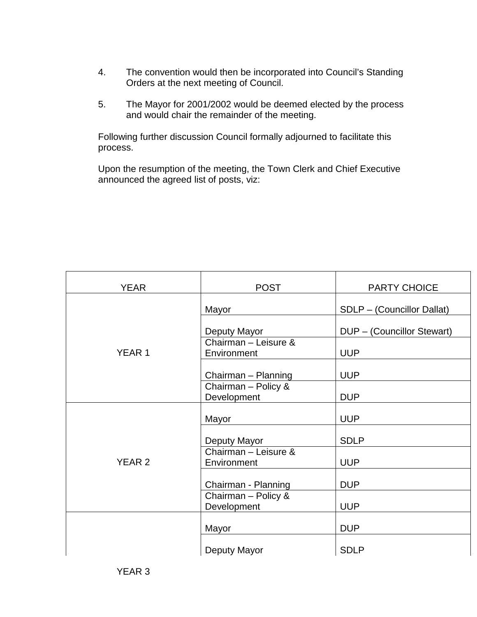- 4. The convention would then be incorporated into Council's Standing Orders at the next meeting of Council.
- 5. The Mayor for 2001/2002 would be deemed elected by the process and would chair the remainder of the meeting.

Following further discussion Council formally adjourned to facilitate this process.

Upon the resumption of the meeting, the Town Clerk and Chief Executive announced the agreed list of posts, viz:

| <b>YEAR</b>   | <b>POST</b>                         | <b>PARTY CHOICE</b>        |  |
|---------------|-------------------------------------|----------------------------|--|
|               | Mayor                               | SDLP - (Councillor Dallat) |  |
|               | Deputy Mayor                        | DUP - (Councillor Stewart) |  |
| <b>YEAR1</b>  | Chairman - Leisure &<br>Environment | <b>UUP</b>                 |  |
|               | Chairman - Planning                 | <b>UUP</b>                 |  |
|               | Chairman - Policy &<br>Development  | <b>DUP</b>                 |  |
|               | Mayor                               | <b>UUP</b>                 |  |
|               | Deputy Mayor                        | <b>SDLP</b>                |  |
| <b>YEAR 2</b> | Chairman - Leisure &<br>Environment | <b>UUP</b>                 |  |
|               | Chairman - Planning                 | <b>DUP</b>                 |  |
|               | Chairman - Policy &<br>Development  | <b>UUP</b>                 |  |
|               | Mayor                               | <b>DUP</b>                 |  |
|               | Deputy Mayor                        | <b>SDLP</b>                |  |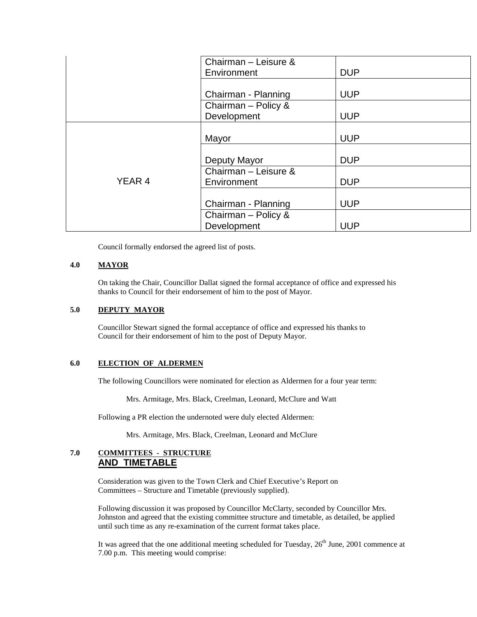|                   | Chairman - Leisure & |            |
|-------------------|----------------------|------------|
|                   | Environment          | <b>DUP</b> |
|                   |                      |            |
|                   | Chairman - Planning  | <b>UUP</b> |
|                   | Chairman - Policy &  |            |
|                   | Development          | <b>UUP</b> |
|                   |                      |            |
|                   | Mayor                | <b>UUP</b> |
|                   |                      |            |
|                   | Deputy Mayor         | <b>DUP</b> |
|                   | Chairman - Leisure & |            |
| YEAR <sub>4</sub> | Environment          | <b>DUP</b> |
|                   |                      |            |
|                   | Chairman - Planning  | <b>UUP</b> |
|                   | Chairman - Policy &  |            |
|                   | Development          | <b>UUP</b> |

Council formally endorsed the agreed list of posts.

#### **4.0 MAYOR**

On taking the Chair, Councillor Dallat signed the formal acceptance of office and expressed his thanks to Council for their endorsement of him to the post of Mayor.

#### **5.0 DEPUTY MAYOR**

Councillor Stewart signed the formal acceptance of office and expressed his thanks to Council for their endorsement of him to the post of Deputy Mayor.

#### **6.0 ELECTION OF ALDERMEN**

The following Councillors were nominated for election as Aldermen for a four year term:

Mrs. Armitage, Mrs. Black, Creelman, Leonard, McClure and Watt

Following a PR election the undernoted were duly elected Aldermen:

Mrs. Armitage, Mrs. Black, Creelman, Leonard and McClure

#### **7.0 COMMITTEES - STRUCTURE AND TIMETABLE**

Consideration was given to the Town Clerk and Chief Executive's Report on Committees – Structure and Timetable (previously supplied).

Following discussion it was proposed by Councillor McClarty, seconded by Councillor Mrs. Johnston and agreed that the existing committee structure and timetable, as detailed, be applied until such time as any re-examination of the current format takes place.

It was agreed that the one additional meeting scheduled for Tuesday,  $26<sup>th</sup>$  June, 2001 commence at 7.00 p.m. This meeting would comprise: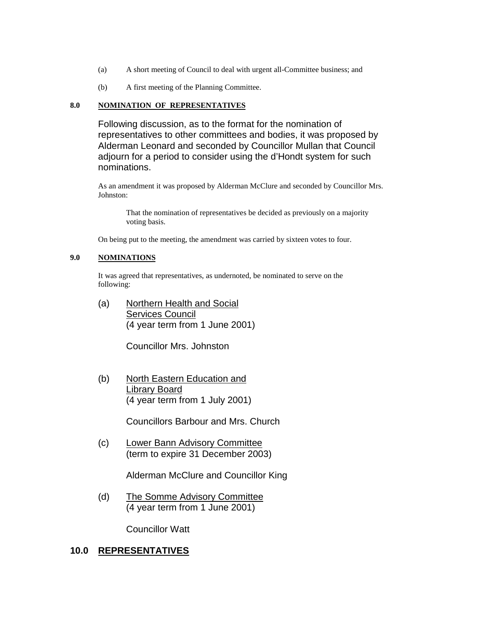- (a) A short meeting of Council to deal with urgent all-Committee business; and
- (b) A first meeting of the Planning Committee.

#### **8.0 NOMINATION OF REPRESENTATIVES**

Following discussion, as to the format for the nomination of representatives to other committees and bodies, it was proposed by Alderman Leonard and seconded by Councillor Mullan that Council adjourn for a period to consider using the d'Hondt system for such nominations.

As an amendment it was proposed by Alderman McClure and seconded by Councillor Mrs. Johnston:

That the nomination of representatives be decided as previously on a majority voting basis.

On being put to the meeting, the amendment was carried by sixteen votes to four.

#### **9.0 NOMINATIONS**

It was agreed that representatives, as undernoted, be nominated to serve on the following:

(a) Northern Health and Social Services Council (4 year term from 1 June 2001)

Councillor Mrs. Johnston

(b) North Eastern Education and Library Board (4 year term from 1 July 2001)

Councillors Barbour and Mrs. Church

(c) Lower Bann Advisory Committee (term to expire 31 December 2003)

Alderman McClure and Councillor King

(d) The Somme Advisory Committee (4 year term from 1 June 2001)

Councillor Watt

### **10.0 REPRESENTATIVES**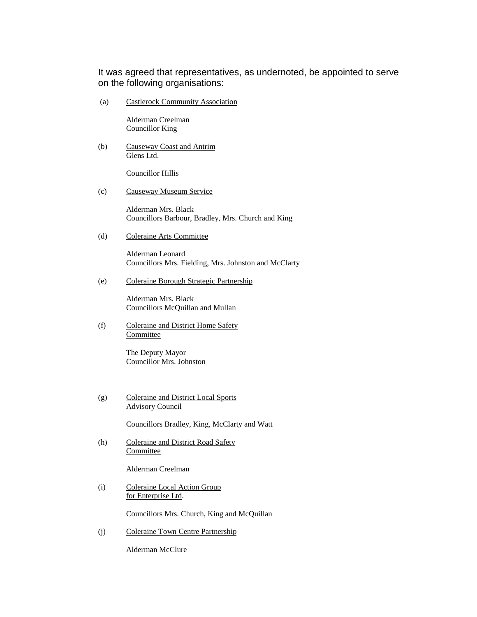It was agreed that representatives, as undernoted, be appointed to serve on the following organisations:

(a) Castlerock Community Association

Alderman Creelman Councillor King

(b) Causeway Coast and Antrim Glens Ltd.

Councillor Hillis

(c) Causeway Museum Service

Alderman Mrs. Black Councillors Barbour, Bradley, Mrs. Church and King

(d) Coleraine Arts Committee

Alderman Leonard Councillors Mrs. Fielding, Mrs. Johnston and McClarty

(e) Coleraine Borough Strategic Partnership

Alderman Mrs. Black Councillors McQuillan and Mullan

(f) Coleraine and District Home Safety **Committee** 

> The Deputy Mayor Councillor Mrs. Johnston

(g) Coleraine and District Local Sports Advisory Council

Councillors Bradley, King, McClarty and Watt

(h) Coleraine and District Road Safety Committee

Alderman Creelman

(i) Coleraine Local Action Group for Enterprise Ltd.

Councillors Mrs. Church, King and McQuillan

(j) Coleraine Town Centre Partnership

Alderman McClure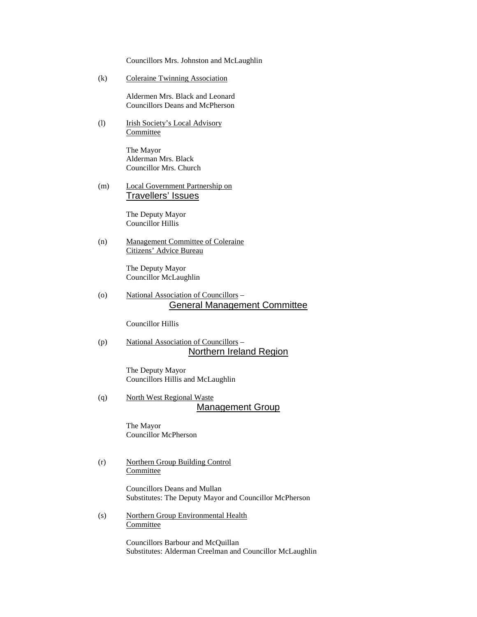Councillors Mrs. Johnston and McLaughlin

(k) Coleraine Twinning Association

Aldermen Mrs. Black and Leonard Councillors Deans and McPherson

(l) Irish Society's Local Advisory **Committee** 

> The Mayor Alderman Mrs. Black Councillor Mrs. Church

(m) Local Government Partnership on Travellers' Issues

> The Deputy Mayor Councillor Hillis

(n) Management Committee of Coleraine Citizens' Advice Bureau

> The Deputy Mayor Councillor McLaughlin

(o) National Association of Councillors – General Management Committee

Councillor Hillis

(p) National Association of Councillors – Northern Ireland Region

> The Deputy Mayor Councillors Hillis and McLaughlin

(q) North West Regional Waste Management Group

> The Mayor Councillor McPherson

(r) Northern Group Building Control Committee

> Councillors Deans and Mullan Substitutes: The Deputy Mayor and Councillor McPherson

(s) Northern Group Environmental Health Committee

> Councillors Barbour and McQuillan Substitutes: Alderman Creelman and Councillor McLaughlin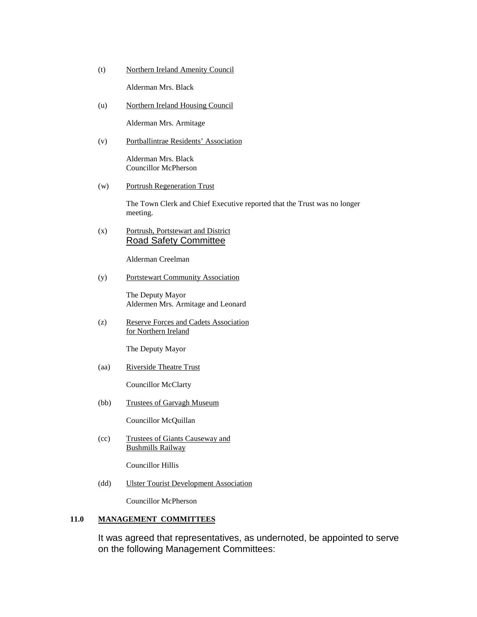(t) Northern Ireland Amenity Council

Alderman Mrs. Black

(u) Northern Ireland Housing Council

Alderman Mrs. Armitage

(v) Portballintrae Residents' Association

Alderman Mrs. Black Councillor McPherson

(w) Portrush Regeneration Trust

The Town Clerk and Chief Executive reported that the Trust was no longer meeting.

(x) Portrush, Portstewart and District Road Safety Committee

Alderman Creelman

(y) Portstewart Community Association

The Deputy Mayor Aldermen Mrs. Armitage and Leonard

(z) Reserve Forces and Cadets Association for Northern Ireland

The Deputy Mayor

(aa) Riverside Theatre Trust

Councillor McClarty

(bb) Trustees of Garvagh Museum

Councillor McQuillan

(cc) Trustees of Giants Causeway and Bushmills Railway

Councillor Hillis

(dd) Ulster Tourist Development Association

Councillor McPherson

#### **11.0 MANAGEMENT COMMITTEES**

It was agreed that representatives, as undernoted, be appointed to serve on the following Management Committees: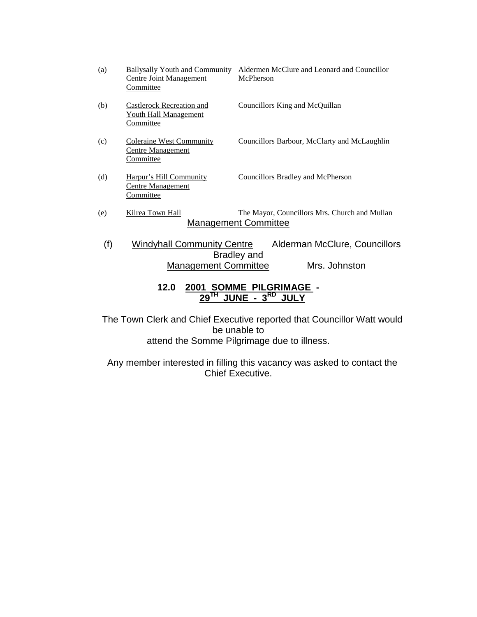| (a) | <b>Ballysally Youth and Community</b><br>Centre Joint Management<br>Committee | Aldermen McClure and Leonard and Councillor<br>McPherson                     |
|-----|-------------------------------------------------------------------------------|------------------------------------------------------------------------------|
| (b) | Castlerock Recreation and<br><b>Youth Hall Management</b><br><b>Committee</b> | Councillors King and McQuillan                                               |
| (c) | <b>Coleraine West Community</b><br><b>Centre Management</b><br>Committee      | Councillors Barbour, McClarty and McLaughlin                                 |
| (d) | Harpur's Hill Community<br><b>Centre Management</b><br>Committee              | Councillors Bradley and McPherson                                            |
| (e) | Kilrea Town Hall                                                              | The Mayor, Councillors Mrs. Church and Mullan<br><b>Management Committee</b> |
| (f) | <b>Windyhall Community Centre</b>                                             | Alderman McClure, Councillors                                                |
|     | <b>Management Committee</b>                                                   | Bradley and<br>Mrs. Johnston                                                 |
|     | 12 U                                                                          | 2001 COMME DII CRIMACE                                                       |

## **12.0 2001 SOMME PILGRIMAGE - 29TH JUNE - 3RD JULY**

The Town Clerk and Chief Executive reported that Councillor Watt would be unable to attend the Somme Pilgrimage due to illness.

Any member interested in filling this vacancy was asked to contact the Chief Executive.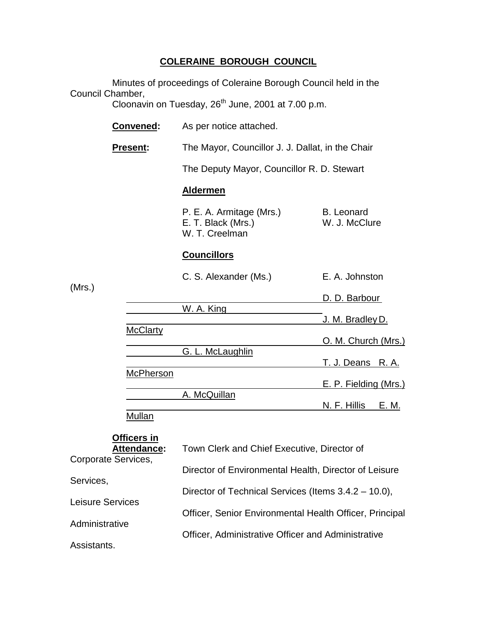# **COLERAINE BOROUGH COUNCIL**

Minutes of proceedings of Coleraine Borough Council held in the Council Chamber,

nambor,<br>Cloonavin on Tuesday, 26<sup>th</sup> June, 2001 at 7.00 p.m.

|                                                                                                                    | Convened:        | As per notice attached.                                          |                                    |  |
|--------------------------------------------------------------------------------------------------------------------|------------------|------------------------------------------------------------------|------------------------------------|--|
|                                                                                                                    | <b>Present:</b>  | The Mayor, Councillor J. J. Dallat, in the Chair                 |                                    |  |
|                                                                                                                    |                  | The Deputy Mayor, Councillor R. D. Stewart                       |                                    |  |
|                                                                                                                    |                  | <b>Aldermen</b>                                                  |                                    |  |
|                                                                                                                    |                  | P. E. A. Armitage (Mrs.)<br>E. T. Black (Mrs.)<br>W. T. Creelman | <b>B.</b> Leonard<br>W. J. McClure |  |
|                                                                                                                    |                  | <b>Councillors</b>                                               |                                    |  |
|                                                                                                                    |                  | C. S. Alexander (Ms.)                                            | E. A. Johnston                     |  |
| (Mrs.)                                                                                                             |                  |                                                                  | D. D. Barbour                      |  |
|                                                                                                                    |                  | W. A. King                                                       | <u>J. M. Bradley D.</u>            |  |
|                                                                                                                    | <b>McClarty</b>  |                                                                  | O. M. Church (Mrs.)                |  |
|                                                                                                                    |                  | G. L. McLaughlin                                                 | <u>T. J. Deans R. A.</u>           |  |
|                                                                                                                    | <b>McPherson</b> |                                                                  | E. P. Fielding (Mrs.)              |  |
|                                                                                                                    |                  | A. McQuillan                                                     | N. F. Hillis<br>E. M.              |  |
|                                                                                                                    | <b>Mullan</b>    |                                                                  |                                    |  |
| Officers in<br><b>Attendance:</b><br>Corporate Services,<br>Services,<br><b>Leisure Services</b><br>Administrative |                  | Town Clerk and Chief Executive, Director of                      |                                    |  |
|                                                                                                                    |                  | Director of Environmental Health, Director of Leisure            |                                    |  |
|                                                                                                                    |                  | Director of Technical Services (Items 3.4.2 – 10.0),             |                                    |  |
|                                                                                                                    |                  | Officer, Senior Environmental Health Officer, Principal          |                                    |  |
|                                                                                                                    |                  | Officer, Administrative Officer and Administrative               |                                    |  |

Assistants.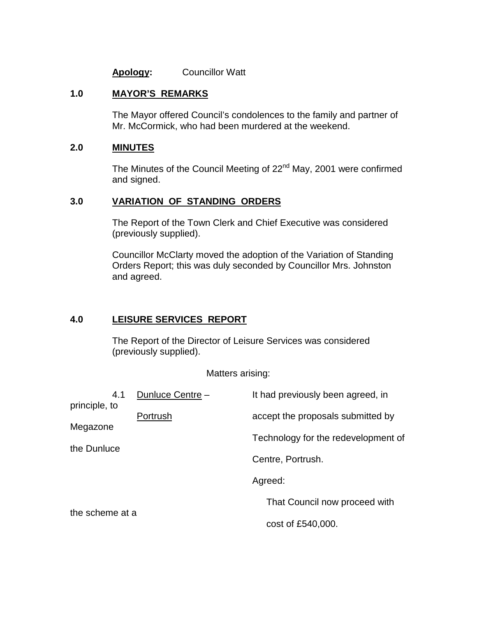## **Apology:** Councillor Watt

### **1.0 MAYOR'S REMARKS**

The Mayor offered Council's condolences to the family and partner of Mr. McCormick, who had been murdered at the weekend.

# **2.0 MINUTES**

The Minutes of the Council Meeting of 22<sup>nd</sup> May, 2001 were confirmed and signed.

### **3.0 VARIATION OF STANDING ORDERS**

The Report of the Town Clerk and Chief Executive was considered (previously supplied).

Councillor McClarty moved the adoption of the Variation of Standing Orders Report; this was duly seconded by Councillor Mrs. Johnston and agreed.

# **4.0 LEISURE SERVICES REPORT**

The Report of the Director of Leisure Services was considered (previously supplied).

Matters arising:

| 4.1<br>principle, to    | Dunluce Centre - | It had previously been agreed, in   |
|-------------------------|------------------|-------------------------------------|
|                         | Portrush         | accept the proposals submitted by   |
| Megazone<br>the Dunluce |                  | Technology for the redevelopment of |
|                         |                  | Centre, Portrush.                   |
|                         |                  | Agreed:                             |
|                         |                  | That Council now proceed with       |
| the scheme at a         |                  | cost of £540,000.                   |
|                         |                  |                                     |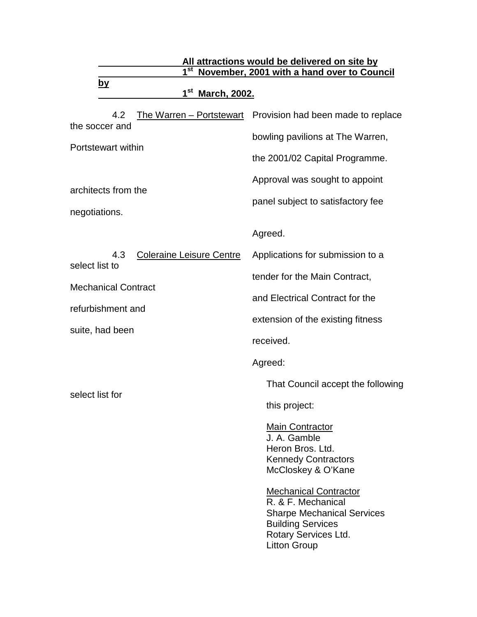| 1 <sup>st</sup>                                                                         | All attractions would be delivered on site by                                                                                                                      |  |
|-----------------------------------------------------------------------------------------|--------------------------------------------------------------------------------------------------------------------------------------------------------------------|--|
| November, 2001 with a hand over to Council<br><u>by</u><br>1 <sup>st</sup> March, 2002. |                                                                                                                                                                    |  |
| 4.2                                                                                     | The Warren - Portstewart Provision had been made to replace                                                                                                        |  |
| the soccer and                                                                          | bowling pavilions at The Warren,                                                                                                                                   |  |
| Portstewart within                                                                      | the 2001/02 Capital Programme.                                                                                                                                     |  |
|                                                                                         | Approval was sought to appoint                                                                                                                                     |  |
| architects from the<br>negotiations.                                                    | panel subject to satisfactory fee                                                                                                                                  |  |
|                                                                                         | Agreed.                                                                                                                                                            |  |
| <b>Coleraine Leisure Centre</b><br>4.3                                                  | Applications for submission to a                                                                                                                                   |  |
| select list to                                                                          | tender for the Main Contract,                                                                                                                                      |  |
| <b>Mechanical Contract</b>                                                              | and Electrical Contract for the                                                                                                                                    |  |
| refurbishment and                                                                       | extension of the existing fitness                                                                                                                                  |  |
| suite, had been                                                                         | received.                                                                                                                                                          |  |
|                                                                                         | Agreed:                                                                                                                                                            |  |
|                                                                                         | That Council accept the following                                                                                                                                  |  |
| select list for                                                                         | this project:                                                                                                                                                      |  |
|                                                                                         | <b>Main Contractor</b><br>J. A. Gamble<br>Heron Bros. Ltd.<br><b>Kennedy Contractors</b><br>McCloskey & O'Kane                                                     |  |
|                                                                                         | <b>Mechanical Contractor</b><br>R. & F. Mechanical<br><b>Sharpe Mechanical Services</b><br><b>Building Services</b><br>Rotary Services Ltd.<br><b>Litton Group</b> |  |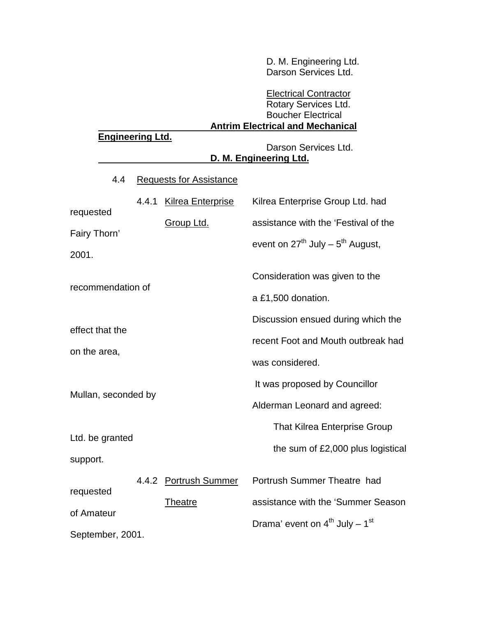D. M. Engineering Ltd. Darson Services Ltd.

# Electrical Contractor Rotary Services Ltd. Boucher Electrical  **Antrim Electrical and Mechanical Engineering Ltd.** Darson Services Ltd.  **D. M. Engineering Ltd.** 4.4 Requests for Assistance 4.4.1 Kilrea Enterprise Kilrea Enterprise Group Ltd. had requested Group Ltd. assistance with the 'Festival of the Fairy Thorn' event on  $27^{th}$  July –  $5^{th}$  August, 2001. Consideration was given to the recommendation of a £1,500 donation. Discussion ensued during which the effect that the recent Foot and Mouth outbreak had on the area, was considered. It was proposed by Councillor Mullan, seconded by Alderman Leonard and agreed: That Kilrea Enterprise Group Ltd. be granted the sum of £2,000 plus logistical support. 4.4.2 Portrush Summer Portrush Summer Theatre had requested Theatre assistance with the 'Summer Season of Amateur Drama' event on  $4^{th}$  July –  $1^{st}$ September, 2001.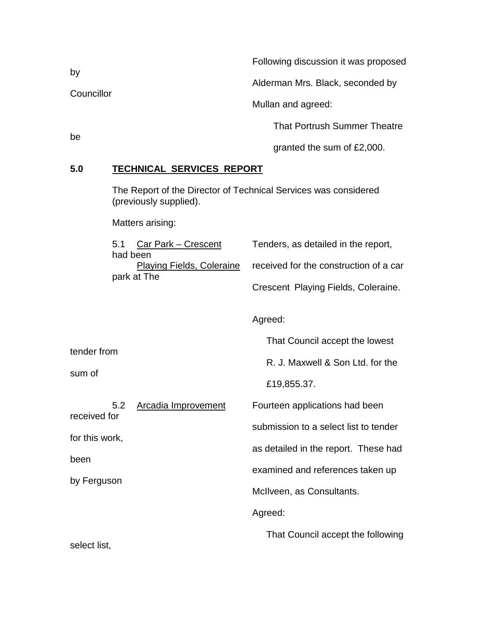| by<br>Councillor | Following discussion it was proposed |
|------------------|--------------------------------------|
|                  | Alderman Mrs. Black, seconded by     |
|                  | Mullan and agreed:                   |
| be               | <b>That Portrush Summer Theatre</b>  |
|                  | granted the sum of £2,000.           |

# **5.0 TECHNICAL SERVICES REPORT**

The Report of the Director of Technical Services was considered (previously supplied).

Matters arising:

| 5.1 Car Park – Crescent | Tenders, as detailed in the report,                              |
|-------------------------|------------------------------------------------------------------|
| had been                |                                                                  |
|                         | Playing Fields, Coleraine received for the construction of a car |
| park at The             |                                                                  |
|                         | Crescent Playing Fields, Coleraine.                              |

Agreed:

That Council accept the lowest

R. J. Maxwell & Son Ltd. for the

£19,855.37.

| 5.2            | Arcadia Improvement | Fourteen applications had been        |
|----------------|---------------------|---------------------------------------|
| received for   |                     | submission to a select list to tender |
| for this work, |                     |                                       |
| been           |                     | as detailed in the report. These had  |
| by Ferguson    |                     | examined and references taken up      |
|                |                     | McIlveen, as Consultants.             |
|                |                     | Agreed:                               |
| .              |                     | That Council accept the following     |

select list,

tender from

sum of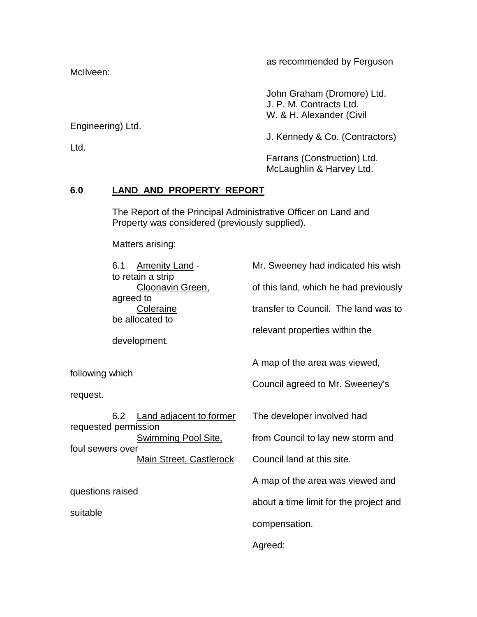McIlveen:

as recommended by Ferguson

John Graham (Dromore) Ltd. J. P. M. Contracts Ltd. W. & H. Alexander (Civil

Engineering) Ltd.

Ltd.

J. Kennedy & Co. (Contractors)

Farrans (Construction) Ltd. McLaughlin & Harvey Ltd.

# **6.0 LAND AND PROPERTY REPORT**

The Report of the Principal Administrative Officer on Land and Property was considered (previously supplied).

Matters arising:

|                      | 6.1             | <b>Amenity Land -</b><br>to retain a strip | Mr. Sweeney had indicated his wish     |  |
|----------------------|-----------------|--------------------------------------------|----------------------------------------|--|
|                      | agreed to       | Cloonavin Green,                           | of this land, which he had previously  |  |
|                      |                 | Coleraine<br>be allocated to               | transfer to Council. The land was to   |  |
|                      |                 | development.                               | relevant properties within the         |  |
|                      |                 |                                            | A map of the area was viewed,          |  |
| request.             | following which |                                            | Council agreed to Mr. Sweeney's        |  |
|                      | 6.2             | <b>Land adjacent to former</b>             | The developer involved had             |  |
| requested permission |                 | <b>Swimming Pool Site,</b>                 | from Council to lay new storm and      |  |
| foul sewers over     |                 | <b>Main Street, Castlerock</b>             | Council land at this site.             |  |
| questions raised     |                 | A map of the area was viewed and           |                                        |  |
| suitable             |                 |                                            | about a time limit for the project and |  |
|                      |                 |                                            | compensation.                          |  |
|                      |                 |                                            | Agreed:                                |  |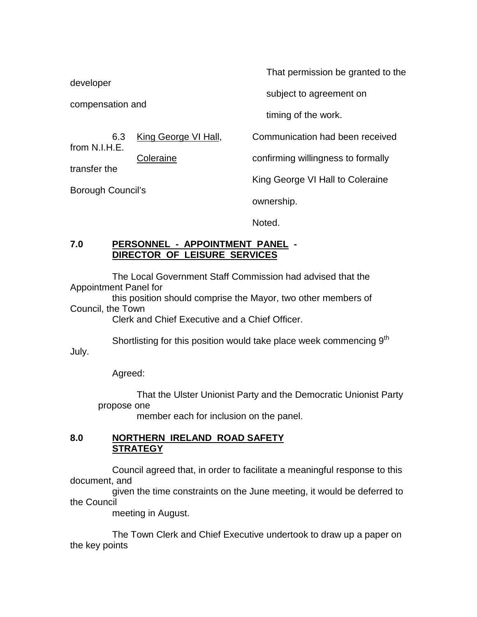developer

compensation and

from N.I.H.E.

transfer the

Borough Council's

That permission be granted to the

subject to agreement on

timing of the work.

6.3 King George VI Hall, Communication had been received

Coleraine confirming willingness to formally

King George VI Hall to Coleraine

ownership.

Noted.

## **7.0 PERSONNEL - APPOINTMENT PANEL - DIRECTOR OF LEISURE SERVICES**

The Local Government Staff Commission had advised that the Appointment Panel for

this position should comprise the Mayor, two other members of Council, the Town

Clerk and Chief Executive and a Chief Officer.

Shortlisting for this position would take place week commencing 9<sup>th</sup>

July.

Agreed:

That the Ulster Unionist Party and the Democratic Unionist Party propose one

member each for inclusion on the panel.

# **8.0 NORTHERN IRELAND ROAD SAFETY STRATEGY**

Council agreed that, in order to facilitate a meaningful response to this document, and

given the time constraints on the June meeting, it would be deferred to the Council

meeting in August.

The Town Clerk and Chief Executive undertook to draw up a paper on the key points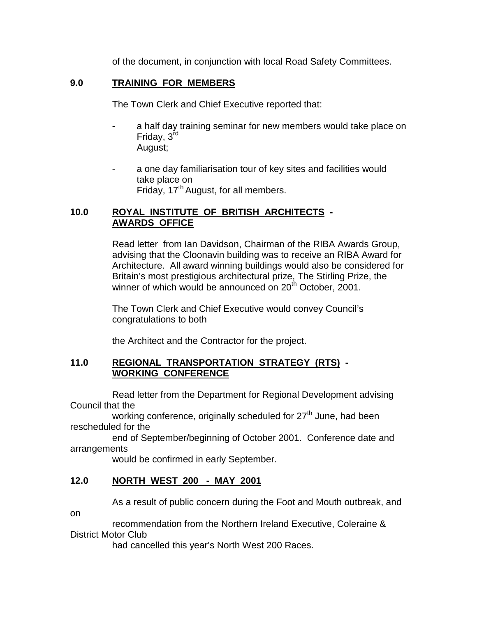of the document, in conjunction with local Road Safety Committees.

# **9.0 TRAINING FOR MEMBERS**

The Town Clerk and Chief Executive reported that:

- a half day training seminar for new members would take place on Friday, 3<sup>rd</sup> August;
- a one day familiarisation tour of key sites and facilities would take place on Friday, 17<sup>th</sup> August, for all members.

# **10.0 ROYAL INSTITUTE OF BRITISH ARCHITECTS - AWARDS OFFICE**

Read letter from Ian Davidson, Chairman of the RIBA Awards Group, advising that the Cloonavin building was to receive an RIBA Award for Architecture. All award winning buildings would also be considered for Britain's most prestigious architectural prize, The Stirling Prize, the winner of which would be announced on 20<sup>th</sup> October, 2001.

The Town Clerk and Chief Executive would convey Council's congratulations to both

the Architect and the Contractor for the project.

# **11.0 REGIONAL TRANSPORTATION STRATEGY (RTS) - WORKING CONFERENCE**

Read letter from the Department for Regional Development advising Council that the

working conference, originally scheduled for  $27<sup>th</sup>$  June, had been rescheduled for the

end of September/beginning of October 2001. Conference date and arrangements

would be confirmed in early September.

# **12.0 NORTH WEST 200 - MAY 2001**

As a result of public concern during the Foot and Mouth outbreak, and

on

recommendation from the Northern Ireland Executive, Coleraine & District Motor Club

had cancelled this year's North West 200 Races.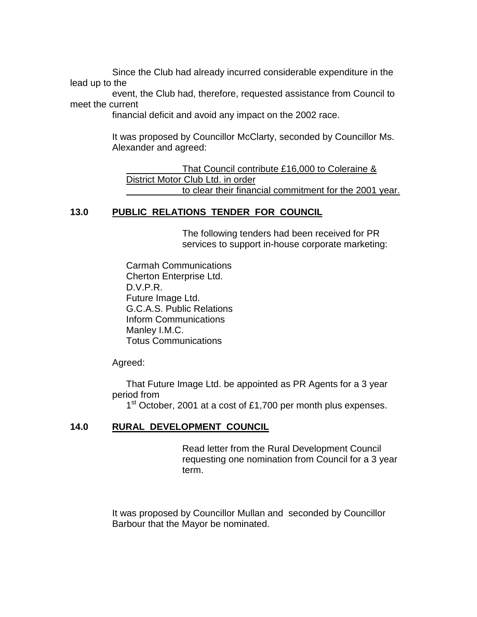Since the Club had already incurred considerable expenditure in the lead up to the

event, the Club had, therefore, requested assistance from Council to meet the current

financial deficit and avoid any impact on the 2002 race.

It was proposed by Councillor McClarty, seconded by Councillor Ms. Alexander and agreed:

 That Council contribute £16,000 to Coleraine & District Motor Club Ltd. in order to clear their financial commitment for the 2001 year.

# **13.0 PUBLIC RELATIONS TENDER FOR COUNCIL**

The following tenders had been received for PR services to support in-house corporate marketing:

Carmah Communications Cherton Enterprise Ltd. D.V.P.R. Future Image Ltd. G.C.A.S. Public Relations Inform Communications Manley I.M.C. Totus Communications

Agreed:

That Future Image Ltd. be appointed as PR Agents for a 3 year period from

1<sup>st</sup> October, 2001 at a cost of £1,700 per month plus expenses.

# **14.0 RURAL DEVELOPMENT COUNCIL**

Read letter from the Rural Development Council requesting one nomination from Council for a 3 year term.

It was proposed by Councillor Mullan and seconded by Councillor Barbour that the Mayor be nominated.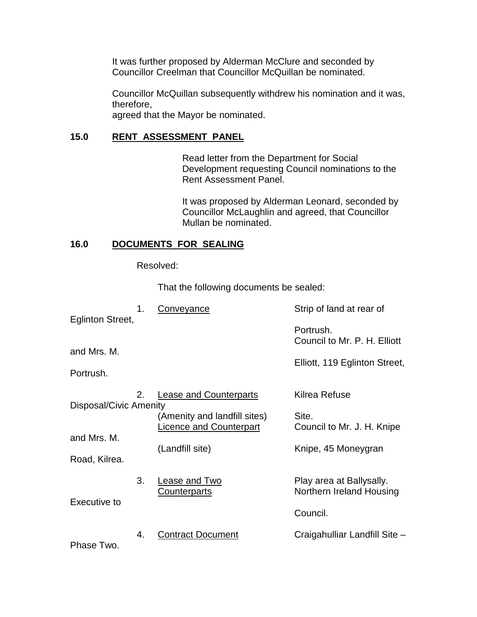It was further proposed by Alderman McClure and seconded by Councillor Creelman that Councillor McQuillan be nominated.

Councillor McQuillan subsequently withdrew his nomination and it was, therefore,

agreed that the Mayor be nominated.

# **15.0 RENT ASSESSMENT PANEL**

Read letter from the Department for Social Development requesting Council nominations to the Rent Assessment Panel.

It was proposed by Alderman Leonard, seconded by Councillor McLaughlin and agreed, that Councillor Mullan be nominated.

# **16.0 DOCUMENTS FOR SEALING**

Resolved:

That the following documents be sealed:

|                              | 1.<br>Conveyance |                                                        | Strip of land at rear of                             |  |
|------------------------------|------------------|--------------------------------------------------------|------------------------------------------------------|--|
| Eglinton Street,             |                  |                                                        | Portrush.<br>Council to Mr. P. H. Elliott            |  |
| and Mrs. M.                  |                  |                                                        |                                                      |  |
| Portrush.                    |                  |                                                        | Elliott, 119 Eglinton Street,                        |  |
| 2.<br>Disposal/Civic Amenity |                  | <b>Lease and Counterparts</b>                          | Kilrea Refuse                                        |  |
|                              |                  | (Amenity and landfill sites)<br>icence and Counterpart | Site.<br>Council to Mr. J. H. Knipe                  |  |
| and Mrs. M.                  |                  |                                                        |                                                      |  |
| Road, Kilrea.                |                  | (Landfill site)                                        | Knipe, 45 Moneygran                                  |  |
|                              | 3.               | <u>Lease and Two</u><br>Counterparts                   | Play area at Ballysally.<br>Northern Ireland Housing |  |
| Executive to                 |                  |                                                        | Council.                                             |  |
|                              | 4.               | <b>Contract Document</b>                               | Craigahulliar Landfill Site -                        |  |

Phase Two.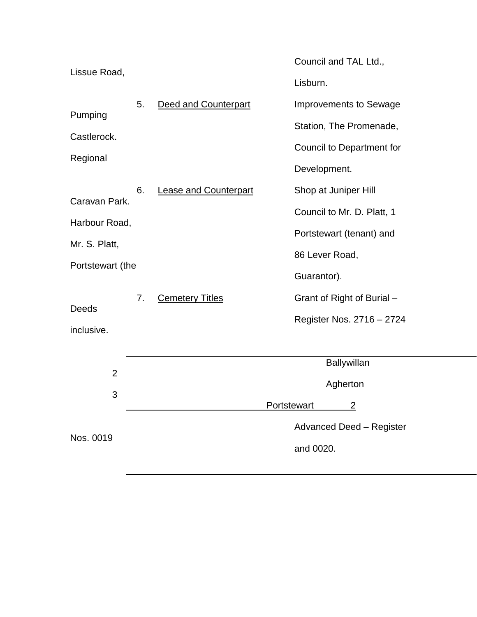|                  |                                    |                        | Council and TAL Ltd.,                |  |
|------------------|------------------------------------|------------------------|--------------------------------------|--|
| Lissue Road,     |                                    |                        | Lisburn.                             |  |
|                  | 5.                                 | Deed and Counterpart   | <b>Improvements to Sewage</b>        |  |
| Pumping          |                                    |                        | Station, The Promenade,              |  |
| Castlerock.      |                                    |                        | Council to Department for            |  |
| Regional         |                                    |                        | Development.                         |  |
|                  | 6.<br><b>Lease and Counterpart</b> |                        | Shop at Juniper Hill                 |  |
| Caravan Park.    |                                    |                        | Council to Mr. D. Platt, 1           |  |
| Harbour Road,    |                                    |                        | Portstewart (tenant) and             |  |
| Mr. S. Platt,    |                                    |                        | 86 Lever Road,                       |  |
| Portstewart (the |                                    |                        | Guarantor).                          |  |
|                  | 7.                                 | <b>Cemetery Titles</b> | Grant of Right of Burial -           |  |
| Deeds            |                                    |                        | Register Nos. 2716 - 2724            |  |
| inclusive.       |                                    |                        |                                      |  |
|                  |                                    |                        | Ballywillan                          |  |
| $\overline{2}$   |                                    |                        | Agherton                             |  |
| 3                |                                    |                        | <b>Portstewart</b><br>$\overline{2}$ |  |
|                  |                                    |                        | <b>Advanced Deed - Register</b>      |  |
| Nos. 0019        |                                    |                        | and 0020.                            |  |
|                  |                                    |                        |                                      |  |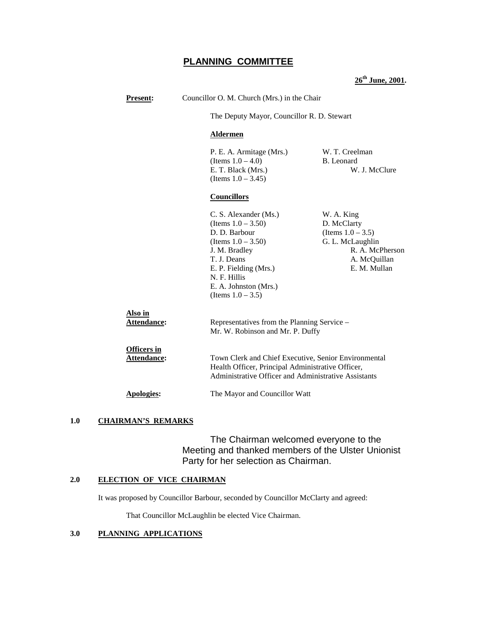# **PLANNING COMMITTEE**

**26th June, 2001.**

| <b>Present:</b>                   | Councillor O. M. Church (Mrs.) in the Chair                                                                                                                                                                        |                                                                                                                                                                   |  |  |
|-----------------------------------|--------------------------------------------------------------------------------------------------------------------------------------------------------------------------------------------------------------------|-------------------------------------------------------------------------------------------------------------------------------------------------------------------|--|--|
|                                   |                                                                                                                                                                                                                    | The Deputy Mayor, Councillor R. D. Stewart                                                                                                                        |  |  |
|                                   | <b>Aldermen</b>                                                                                                                                                                                                    |                                                                                                                                                                   |  |  |
|                                   | P. E. A. Armitage (Mrs.)<br>(Items $1.0 - 4.0$ )<br>E. T. Black (Mrs.)<br>(Items $1.0 - 3.45$ )                                                                                                                    | W. T. Creelman<br>B. Leonard<br>W. J. McClure                                                                                                                     |  |  |
|                                   | <b>Councillors</b>                                                                                                                                                                                                 |                                                                                                                                                                   |  |  |
|                                   | C. S. Alexander (Ms.)<br>(Items $1.0 - 3.50$ )<br>D. D. Barbour<br>(Items $1.0 - 3.50$ )<br>J. M. Bradley<br>T. J. Deans<br>E. P. Fielding (Mrs.)<br>N. F. Hillis<br>E. A. Johnston (Mrs.)<br>(Items $1.0 - 3.5$ ) | W. A. King<br>D. McClarty<br>(Items $1.0 - 3.5$ )<br>G. L. McLaughlin<br>R. A. McPherson<br>A. McQuillan<br>E. M. Mullan                                          |  |  |
| Also in<br>Attendance:            |                                                                                                                                                                                                                    | Representatives from the Planning Service -<br>Mr. W. Robinson and Mr. P. Duffy                                                                                   |  |  |
| <b>Officers in</b><br>Attendance: |                                                                                                                                                                                                                    | Town Clerk and Chief Executive, Senior Environmental<br>Health Officer, Principal Administrative Officer,<br>Administrative Officer and Administrative Assistants |  |  |
| Apologies:                        | The Mayor and Councillor Watt                                                                                                                                                                                      |                                                                                                                                                                   |  |  |

#### **1.0 CHAIRMAN'S REMARKS**

The Chairman welcomed everyone to the Meeting and thanked members of the Ulster Unionist Party for her selection as Chairman.

#### **2.0 ELECTION OF VICE CHAIRMAN**

It was proposed by Councillor Barbour, seconded by Councillor McClarty and agreed:

That Councillor McLaughlin be elected Vice Chairman.

#### **3.0 PLANNING APPLICATIONS**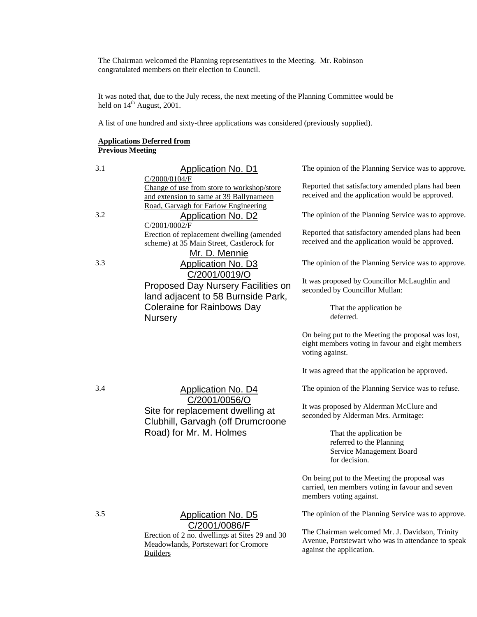The Chairman welcomed the Planning representatives to the Meeting. Mr. Robinson congratulated members on their election to Council.

It was noted that, due to the July recess, the next meeting of the Planning Committee would be held on  $14^{\text{th}}$  August, 2001.

A list of one hundred and sixty-three applications was considered (previously supplied).

#### **Applications Deferred from Previous Meeting**

| <b>Application No. D1</b>                                                                                        | The opinion of the Planning Service was to approve.                                                                                                                             |
|------------------------------------------------------------------------------------------------------------------|---------------------------------------------------------------------------------------------------------------------------------------------------------------------------------|
| Change of use from store to workshop/store<br>and extension to same at 39 Ballynameen                            | Reported that satisfactory amended plans had been<br>received and the application would be approved.                                                                            |
| Application No. D2                                                                                               | The opinion of the Planning Service was to approve.                                                                                                                             |
| Erection of replacement dwelling (amended<br>scheme) at 35 Main Street, Castlerock for                           | Reported that satisfactory amended plans had been<br>received and the application would be approved.                                                                            |
| Application No. D3                                                                                               | The opinion of the Planning Service was to approve.                                                                                                                             |
| Proposed Day Nursery Facilities on<br>land adjacent to 58 Burnside Park,                                         | It was proposed by Councillor McLaughlin and<br>seconded by Councillor Mullan:                                                                                                  |
| <b>Coleraine for Rainbows Day</b><br><b>Nursery</b>                                                              | That the application be<br>deferred.                                                                                                                                            |
|                                                                                                                  | On being put to the Meeting the proposal was lost,<br>eight members voting in favour and eight members<br>voting against.                                                       |
|                                                                                                                  | It was agreed that the application be approved.                                                                                                                                 |
| <b>Application No. D4</b>                                                                                        | The opinion of the Planning Service was to refuse.                                                                                                                              |
| Site for replacement dwelling at                                                                                 | It was proposed by Alderman McClure and<br>seconded by Alderman Mrs. Armitage:                                                                                                  |
| Road) for Mr. M. Holmes                                                                                          | That the application be<br>referred to the Planning<br>Service Management Board<br>for decision.                                                                                |
|                                                                                                                  | On being put to the Meeting the proposal was<br>carried, ten members voting in favour and seven<br>members voting against.                                                      |
| <b>Application No. D5</b>                                                                                        | The opinion of the Planning Service was to approve.                                                                                                                             |
| Erection of 2 no. dwellings at Sites 29 and 30<br><b>Meadowlands, Portstewart for Cromore</b><br><b>Builders</b> | The Chairman welcomed Mr. J. Davidson, Trinity<br>Avenue, Portstewart who was in attendance to speak<br>against the application.                                                |
|                                                                                                                  | C/2000/0104/F<br>Road, Garvagh for Farlow Engineering<br>C/2001/0002/F<br>Mr. D. Mennie<br>C/2001/0019/O<br>C/2001/0056/O<br>Clubhill, Garvagh (off Drumcroone<br>C/2001/0086/F |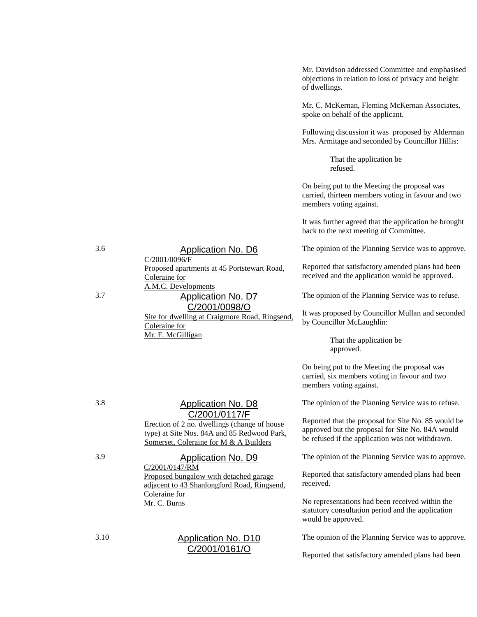Mr. Davidson addressed Committee and emphasised objections in relation to loss of privacy and height of dwellings.

Mr. C. McKernan, Fleming McKernan Associates, spoke on behalf of the applicant.

Following discussion it was proposed by Alderman Mrs. Armitage and seconded by Councillor Hillis:

> That the application be refused.

On being put to the Meeting the proposal was carried, thirteen members voting in favour and two members voting against.

It was further agreed that the application be brought back to the next meeting of Committee.

The opinion of the Planning Service was to approve.

Reported that satisfactory amended plans had been received and the application would be approved.

The opinion of the Planning Service was to refuse.

It was proposed by Councillor Mullan and seconded by Councillor McLaughlin:

> That the application be approved.

On being put to the Meeting the proposal was carried, six members voting in favour and two members voting against.

The opinion of the Planning Service was to refuse.

Reported that the proposal for Site No. 85 would be approved but the proposal for Site No. 84A would be refused if the application was not withdrawn.

The opinion of the Planning Service was to approve.

Reported that satisfactory amended plans had been received.

No representations had been received within the statutory consultation period and the application would be approved.

The opinion of the Planning Service was to approve.

Reported that satisfactory amended plans had been

3.6 Application No. D6

C/2001/0096/F Proposed apartments at 45 Portstewart Road, Coleraine for A.M.C. Developments

3.7 Application No. D7

### C/2001/0098/O

Site for dwelling at Craigmore Road, Ringsend, Coleraine for Mr. F. McGilligan

3.8 Application No. D8 C/2001/0117/F

Erection of 2 no. dwellings (change of house type) at Site Nos. 84A and 85 Redwood Park, Somerset, Coleraine for M & A Builders

#### 3.9 Application No. D9

C/2001/0147/RM Proposed bungalow with detached garage adjacent to 43 Shanlongford Road, Ringsend, Coleraine for Mr. C. Burns

### 3.10 Application No. D10 C/2001/0161/O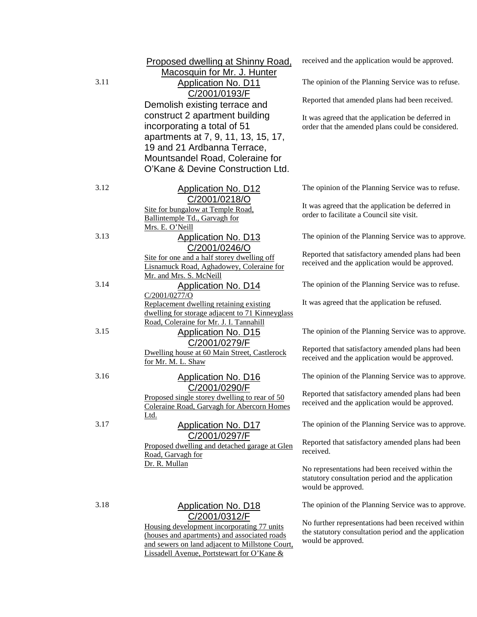|      | Proposed dwelling at Shinny Road,<br>Macosquin for Mr. J. Hunter                            | received and the application would be approved.                                                      |
|------|---------------------------------------------------------------------------------------------|------------------------------------------------------------------------------------------------------|
| 3.11 | <b>Application No. D11</b><br>C/2001/0193/F                                                 | The opinion of the Planning Service was to refuse.                                                   |
|      | Demolish existing terrace and                                                               | Reported that amended plans had been received.                                                       |
|      | construct 2 apartment building                                                              | It was agreed that the application be deferred in                                                    |
|      | incorporating a total of 51                                                                 | order that the amended plans could be considered.                                                    |
|      | apartments at 7, 9, 11, 13, 15, 17,                                                         |                                                                                                      |
|      | 19 and 21 Ardbanna Terrace,                                                                 |                                                                                                      |
|      | Mountsandel Road, Coleraine for<br>O'Kane & Devine Construction Ltd.                        |                                                                                                      |
|      |                                                                                             |                                                                                                      |
| 3.12 | <b>Application No. D12</b>                                                                  | The opinion of the Planning Service was to refuse.                                                   |
|      | C/2001/0218/O                                                                               | It was agreed that the application be deferred in                                                    |
|      | Site for bungalow at Temple Road,<br>Ballintemple Td., Garvagh for                          | order to facilitate a Council site visit.                                                            |
|      | Mrs. E. O'Neill                                                                             |                                                                                                      |
| 3.13 | <b>Application No. D13</b>                                                                  | The opinion of the Planning Service was to approve.                                                  |
|      | C/2001/0246/O                                                                               |                                                                                                      |
|      | Site for one and a half storey dwelling off                                                 | Reported that satisfactory amended plans had been<br>received and the application would be approved. |
|      | Lisnamuck Road, Aghadowey, Coleraine for<br>Mr. and Mrs. S. McNeill                         |                                                                                                      |
| 3.14 | <b>Application No. D14</b>                                                                  | The opinion of the Planning Service was to refuse.                                                   |
|      | C/2001/0277/0                                                                               |                                                                                                      |
|      | Replacement dwelling retaining existing                                                     | It was agreed that the application be refused.                                                       |
|      | dwelling for storage adjacent to 71 Kinneyglass<br>Road, Coleraine for Mr. J. I. Tannahill  |                                                                                                      |
| 3.15 | <b>Application No. D15</b>                                                                  | The opinion of the Planning Service was to approve.                                                  |
|      | C/2001/0279/F                                                                               |                                                                                                      |
|      | Dwelling house at 60 Main Street, Castlerock                                                | Reported that satisfactory amended plans had been<br>received and the application would be approved. |
|      | for Mr. M. L. Shaw                                                                          |                                                                                                      |
| 3.16 | <b>Application No. D16</b>                                                                  | The opinion of the Planning Service was to approve.                                                  |
|      | C/2001/0290/F                                                                               | Reported that satisfactory amended plans had been                                                    |
|      | Proposed single storey dwelling to rear of 50<br>Coleraine Road, Garvagh for Abercorn Homes | received and the application would be approved.                                                      |
|      | <u>Ltd.</u>                                                                                 |                                                                                                      |
| 3.17 | <b>Application No. D17</b>                                                                  | The opinion of the Planning Service was to approve.                                                  |
|      | C/2001/0297/F                                                                               | Reported that satisfactory amended plans had been                                                    |
|      | Proposed dwelling and detached garage at Glen<br>Road, Garvagh for                          | received.                                                                                            |
|      | Dr. R. Mullan                                                                               |                                                                                                      |
|      |                                                                                             | No representations had been received within the<br>statutory consultation period and the application |
|      |                                                                                             | would be approved.                                                                                   |
| 3.18 |                                                                                             |                                                                                                      |
|      | <b>Application No. D18</b><br>C/2001/0312/F                                                 | The opinion of the Planning Service was to approve.                                                  |
|      | Housing development incorporating 77 units                                                  | No further representations had been received within                                                  |
|      | (houses and apartments) and associated roads                                                | the statutory consultation period and the application                                                |
|      | and sewers on land adjacent to Millstone Court,                                             | would be approved.                                                                                   |
|      | Lissadell Avenue, Portstewart for O'Kane &                                                  |                                                                                                      |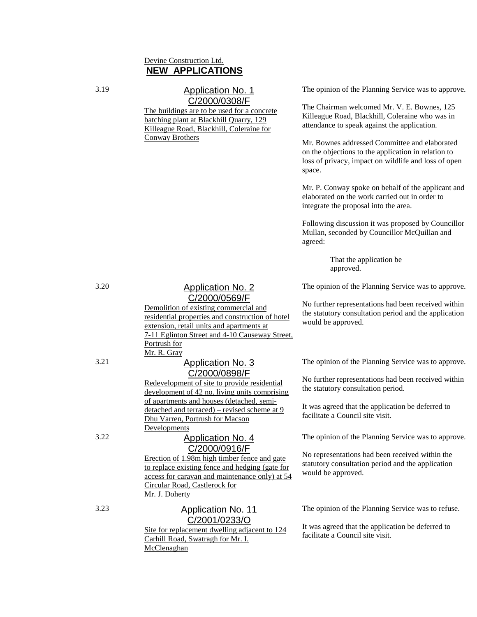### Devine Construction Ltd. **NEW APPLICATIONS**

### 3.19 Application No. 1 C/2000/0308/F

The buildings are to be used for a concrete batching plant at Blackhill Quarry, 129 Killeague Road, Blackhill, Coleraine for Conway Brothers

The opinion of the Planning Service was to approve.

The Chairman welcomed Mr. V. E. Bownes, 125 Killeague Road, Blackhill, Coleraine who was in attendance to speak against the application.

Mr. Bownes addressed Committee and elaborated on the objections to the application in relation to loss of privacy, impact on wildlife and loss of open space.

Mr. P. Conway spoke on behalf of the applicant and elaborated on the work carried out in order to integrate the proposal into the area.

Following discussion it was proposed by Councillor Mullan, seconded by Councillor McQuillan and agreed:

> That the application be approved.

The opinion of the Planning Service was to approve.

No further representations had been received within the statutory consultation period and the application would be approved.

The opinion of the Planning Service was to approve.

No further representations had been received within the statutory consultation period.

It was agreed that the application be deferred to facilitate a Council site visit.

The opinion of the Planning Service was to approve.

No representations had been received within the statutory consultation period and the application would be approved.

The opinion of the Planning Service was to refuse.

It was agreed that the application be deferred to facilitate a Council site visit.

# 3.20 Application No. 2 C/2000/0569/F

Demolition of existing commercial and residential properties and construction of hotel extension, retail units and apartments at 7-11 Eglinton Street and 4-10 Causeway Street, Portrush for Mr. R. Gray

### 3.21 Application No. 3 C/2000/0898/F

Redevelopment of site to provide residential development of 42 no. living units comprising of apartments and houses (detached, semidetached and terraced) – revised scheme at 9 Dhu Varren, Portrush for Macson Developments

### 3.22 Application No. 4 C/2000/0916/F

Erection of 1.98m high timber fence and gate to replace existing fence and hedging (gate for access for caravan and maintenance only) at 54 Circular Road, Castlerock for Mr. J. Doherty

# 3.23 Application No. 11 C/2001/0233/O

Site for replacement dwelling adjacent to 124 Carhill Road, Swatragh for Mr. I. McClenaghan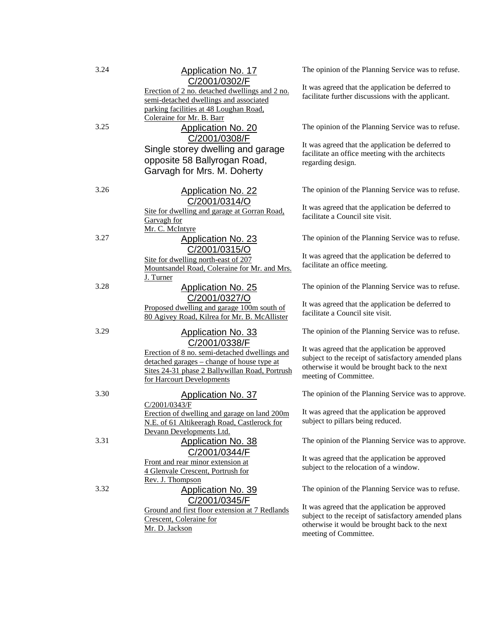| 3.24 | Application No. 17<br>C/2001/0302/F                                                                                                                                                         | The opinion of the Planning Service was to refuse.                                                                                                                                |
|------|---------------------------------------------------------------------------------------------------------------------------------------------------------------------------------------------|-----------------------------------------------------------------------------------------------------------------------------------------------------------------------------------|
|      | Erection of 2 no. detached dwellings and 2 no.<br>semi-detached dwellings and associated<br>parking facilities at 48 Loughan Road,<br>Coleraine for Mr. B. Barr                             | It was agreed that the application be deferred to<br>facilitate further discussions with the applicant.                                                                           |
| 3.25 | <b>Application No. 20</b><br>C/2001/0308/F                                                                                                                                                  | The opinion of the Planning Service was to refuse.                                                                                                                                |
|      | Single storey dwelling and garage<br>opposite 58 Ballyrogan Road,<br>Garvagh for Mrs. M. Doherty                                                                                            | It was agreed that the application be deferred to<br>facilitate an office meeting with the architects<br>regarding design.                                                        |
| 3.26 | <b>Application No. 22</b><br>C/2001/0314/O                                                                                                                                                  | The opinion of the Planning Service was to refuse.                                                                                                                                |
|      | Site for dwelling and garage at Gorran Road,<br>Garvagh for<br>Mr. C. McIntyre                                                                                                              | It was agreed that the application be deferred to<br>facilitate a Council site visit.                                                                                             |
| 3.27 | <b>Application No. 23</b>                                                                                                                                                                   | The opinion of the Planning Service was to refuse.                                                                                                                                |
|      | C/2001/0315/O<br>Site for dwelling north-east of 207<br>Mountsandel Road, Coleraine for Mr. and Mrs.<br>J. Turner                                                                           | It was agreed that the application be deferred to<br>facilitate an office meeting.                                                                                                |
| 3.28 | <b>Application No. 25</b>                                                                                                                                                                   | The opinion of the Planning Service was to refuse.                                                                                                                                |
|      | C/2001/0327/O<br>Proposed dwelling and garage 100m south of<br>80 Agivey Road, Kilrea for Mr. B. McAllister                                                                                 | It was agreed that the application be deferred to<br>facilitate a Council site visit.                                                                                             |
| 3.29 | <b>Application No. 33</b>                                                                                                                                                                   | The opinion of the Planning Service was to refuse.                                                                                                                                |
|      | C/2001/0338/F<br>Erection of 8 no. semi-detached dwellings and<br>detached garages – change of house type at<br>Sites 24-31 phase 2 Ballywillan Road, Portrush<br>for Harcourt Developments | It was agreed that the application be approved<br>subject to the receipt of satisfactory amended plans<br>otherwise it would be brought back to the next<br>meeting of Committee. |
| 3.30 | <b>Application No. 37</b>                                                                                                                                                                   | The opinion of the Planning Service was to approve.                                                                                                                               |
|      | C/2001/0343/F<br>Erection of dwelling and garage on land 200m<br>N.E. of 61 Altikeeragh Road, Castlerock for<br>Devann Developments Ltd.                                                    | It was agreed that the application be approved<br>subject to pillars being reduced.                                                                                               |
| 3.31 | <b>Application No. 38</b>                                                                                                                                                                   | The opinion of the Planning Service was to approve.                                                                                                                               |
|      | C/2001/0344/F<br>Front and rear minor extension at<br>4 Glenvale Crescent, Portrush for<br>Rev. J. Thompson                                                                                 | It was agreed that the application be approved<br>subject to the relocation of a window.                                                                                          |
| 3.32 | Application No. 39<br>C/2001/0345/F                                                                                                                                                         | The opinion of the Planning Service was to refuse.                                                                                                                                |
|      | Ground and first floor extension at 7 Redlands<br>Crescent, Coleraine for<br>Mr. D. Jackson                                                                                                 | It was agreed that the application be approved<br>subject to the receipt of satisfactory amended plans<br>otherwise it would be brought back to the next<br>meeting of Committee. |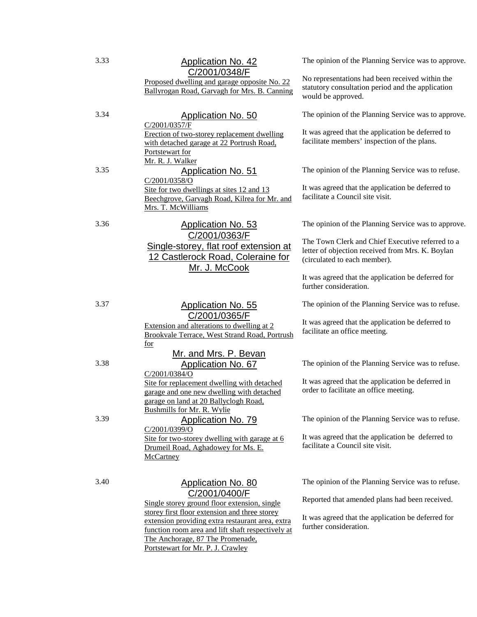| 3.33 | <b>Application No. 42</b><br>C/2001/0348/F                                                                                                                                       | The opinion of the Planning Service was to approve.                                                                                  |
|------|----------------------------------------------------------------------------------------------------------------------------------------------------------------------------------|--------------------------------------------------------------------------------------------------------------------------------------|
|      | Proposed dwelling and garage opposite No. 22<br>Ballyrogan Road, Garvagh for Mrs. B. Canning                                                                                     | No representations had been received within the<br>statutory consultation period and the application<br>would be approved.           |
| 3.34 | <b>Application No. 50</b><br>C/2001/0357/F                                                                                                                                       | The opinion of the Planning Service was to approve.                                                                                  |
|      | Erection of two-storey replacement dwelling<br>with detached garage at 22 Portrush Road,<br>Portstewart for<br>Mr. R. J. Walker                                                  | It was agreed that the application be deferred to<br>facilitate members' inspection of the plans.                                    |
| 3.35 | <b>Application No. 51</b><br>C/2001/0358/O                                                                                                                                       | The opinion of the Planning Service was to refuse.                                                                                   |
|      | Site for two dwellings at sites 12 and 13<br>Beechgrove, Garvagh Road, Kilrea for Mr. and<br>Mrs. T. McWilliams                                                                  | It was agreed that the application be deferred to<br>facilitate a Council site visit.                                                |
| 3.36 | <b>Application No. 53</b>                                                                                                                                                        | The opinion of the Planning Service was to approve.                                                                                  |
|      | C/2001/0363/F<br>Single-storey, flat roof extension at<br>12 Castlerock Road, Coleraine for<br>Mr. J. McCook                                                                     | The Town Clerk and Chief Executive referred to a<br>letter of objection received from Mrs. K. Boylan<br>(circulated to each member). |
|      |                                                                                                                                                                                  | It was agreed that the application be deferred for<br>further consideration.                                                         |
| 3.37 | <b>Application No. 55</b><br>C/2001/0365/F                                                                                                                                       | The opinion of the Planning Service was to refuse.                                                                                   |
|      | Extension and alterations to dwelling at 2<br>Brookvale Terrace, West Strand Road, Portrush<br>for                                                                               | It was agreed that the application be deferred to<br>facilitate an office meeting.                                                   |
| 3.38 | Mr. and Mrs. P. Bevan<br>Application No. 67                                                                                                                                      | The opinion of the Planning Service was to refuse.                                                                                   |
|      | C/2001/0384/O<br>Site for replacement dwelling with detached<br>garage and one new dwelling with detached<br>garage on land at 20 Ballyclogh Road,<br>Bushmills for Mr. R. Wylie | It was agreed that the application be deferred in<br>order to facilitate an office meeting.                                          |
| 3.39 | <b>Application No. 79</b><br>C/2001/0399/O                                                                                                                                       | The opinion of the Planning Service was to refuse.                                                                                   |
|      | Site for two-storey dwelling with garage at 6<br>Drumeil Road, Aghadowey for Ms. E.<br>McCartney                                                                                 | It was agreed that the application be deferred to<br>facilitate a Council site visit.                                                |
| 3.40 | <b>Application No. 80</b>                                                                                                                                                        | The opinion of the Planning Service was to refuse.                                                                                   |
|      | C/2001/0400/F<br>Single storey ground floor extension, single<br>storey first floor extension and three storey                                                                   | Reported that amended plans had been received.                                                                                       |
|      | extension providing extra restaurant area, extra<br>function room area and lift shaft respectively at<br>The Anchorage, 87 The Promenade,                                        | It was agreed that the application be deferred for<br>further consideration.                                                         |

Portstewart for Mr. P. J. Crawley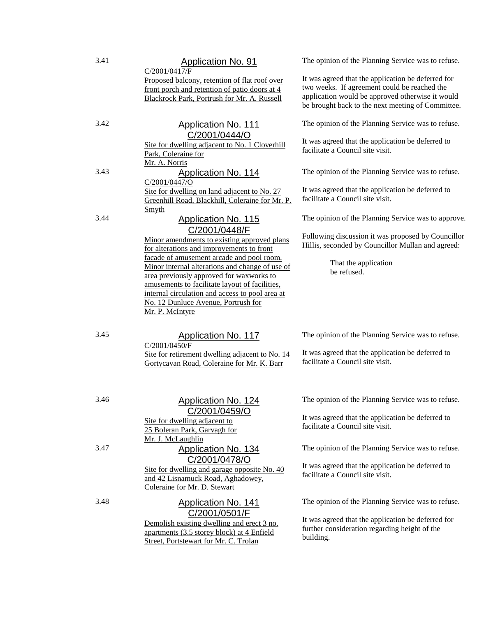### 3.41 Application No. 91

C/2001/0417/F

Proposed balcony, retention of flat roof over front porch and retention of patio doors at 4 Blackrock Park, Portrush for Mr. A. Russell

# 3.42 Application No. 111 C/2001/0444/O

Site for dwelling adjacent to No. 1 Cloverhill Park, Coleraine for Mr. A. Norris

3.43 Application No. 114

#### C/2001/0447/O Site for dwelling on land adjacent to No. 27

Greenhill Road, Blackhill, Coleraine for Mr. P. Smyth

### 3.44 Application No. 115 C/2001/0448/F

Minor amendments to existing approved plans for alterations and improvements to front facade of amusement arcade and pool room. Minor internal alterations and change of use of area previously approved for waxworks to amusements to facilitate layout of facilities, internal circulation and access to pool area at No. 12 Dunluce Avenue, Portrush for Mr. P. McIntyre

3.45 Application No. 117

C/2001/0450/F

Site for retirement dwelling adjacent to No. 14 Gortycavan Road, Coleraine for Mr. K. Barr

C/2001/0459/O

C/2001/0478/O Site for dwelling and garage opposite No. 40 and 42 Lisnamuck Road, Aghadowey,

C/2001/0501/F Demolish existing dwelling and erect 3 no. apartments (3.5 storey block) at 4 Enfield Street, Portstewart for Mr. C. Trolan

Site for dwelling adjacent to 25 Boleran Park, Garvagh for

Coleraine for Mr. D. Stewart

Mr. J. McLaughlin

The opinion of the Planning Service was to refuse.

It was agreed that the application be deferred for two weeks. If agreement could be reached the application would be approved otherwise it would be brought back to the next meeting of Committee.

The opinion of the Planning Service was to refuse.

It was agreed that the application be deferred to facilitate a Council site visit.

The opinion of the Planning Service was to refuse.

It was agreed that the application be deferred to facilitate a Council site visit.

The opinion of the Planning Service was to approve.

Following discussion it was proposed by Councillor Hillis, seconded by Councillor Mullan and agreed:

> That the application be refused.

The opinion of the Planning Service was to refuse.

It was agreed that the application be deferred to facilitate a Council site visit.

The opinion of the Planning Service was to refuse.

It was agreed that the application be deferred to facilitate a Council site visit.

The opinion of the Planning Service was to refuse.

It was agreed that the application be deferred to facilitate a Council site visit.

The opinion of the Planning Service was to refuse.

It was agreed that the application be deferred for further consideration regarding height of the building.

### 3.46 Application No. 124

3.47 Application No. 134

3.48 Application No. 141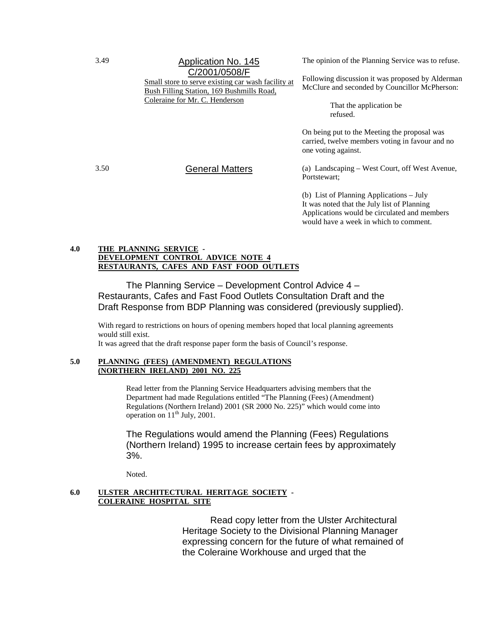# 3.49 Application No. 145 C/2001/0508/F

Small store to serve existing car wash facility at Bush Filling Station, 169 Bushmills Road, Coleraine for Mr. C. Henderson

The opinion of the Planning Service was to refuse.

Following discussion it was proposed by Alderman McClure and seconded by Councillor McPherson:

> That the application be refused.

On being put to the Meeting the proposal was carried, twelve members voting in favour and no one voting against.

3.50 General Matters (a) Landscaping – West Court, off West Avenue, Portstewart;

> (b) List of Planning Applications – July It was noted that the July list of Planning Applications would be circulated and members would have a week in which to comment.

#### **4.0 THE PLANNING SERVICE - DEVELOPMENT CONTROL ADVICE NOTE 4 RESTAURANTS, CAFES AND FAST FOOD OUTLETS**

The Planning Service – Development Control Advice 4 – Restaurants, Cafes and Fast Food Outlets Consultation Draft and the Draft Response from BDP Planning was considered (previously supplied).

With regard to restrictions on hours of opening members hoped that local planning agreements would still exist.

It was agreed that the draft response paper form the basis of Council's response.

#### **5.0 PLANNING (FEES) (AMENDMENT) REGULATIONS (NORTHERN IRELAND) 2001 NO. 225**

Read letter from the Planning Service Headquarters advising members that the Department had made Regulations entitled "The Planning (Fees) (Amendment) Regulations (Northern Ireland) 2001 (SR 2000 No. 225)" which would come into operation on  $11<sup>th</sup>$  July, 2001.

The Regulations would amend the Planning (Fees) Regulations (Northern Ireland) 1995 to increase certain fees by approximately 3%.

Noted.

#### **6.0 ULSTER ARCHITECTURAL HERITAGE SOCIETY - COLERAINE HOSPITAL SITE**

Read copy letter from the Ulster Architectural Heritage Society to the Divisional Planning Manager expressing concern for the future of what remained of the Coleraine Workhouse and urged that the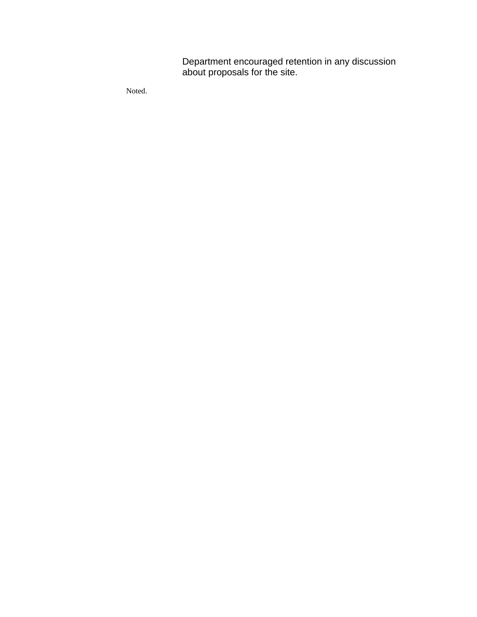Department encouraged retention in any discussion about proposals for the site.

Noted.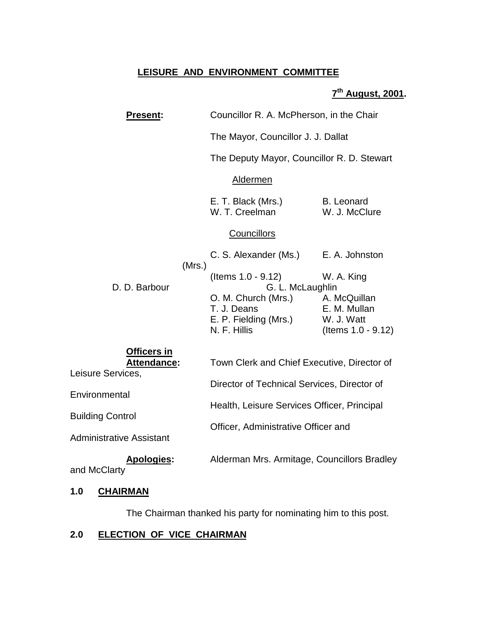# **LEISURE AND ENVIRONMENT COMMITTEE**

# **7th August, 2001.**

| <b>Present:</b>                                        | Councillor R. A. McPherson, in the Chair                                    |                                                                  |  |
|--------------------------------------------------------|-----------------------------------------------------------------------------|------------------------------------------------------------------|--|
|                                                        | The Mayor, Councillor J. J. Dallat                                          |                                                                  |  |
|                                                        | The Deputy Mayor, Councillor R. D. Stewart                                  |                                                                  |  |
|                                                        | Aldermen                                                                    |                                                                  |  |
|                                                        | E. T. Black (Mrs.)<br>W. T. Creelman                                        | B. Leonard<br>W. J. McClure                                      |  |
|                                                        | <b>Councillors</b>                                                          |                                                                  |  |
|                                                        | C. S. Alexander (Ms.)                                                       | E. A. Johnston                                                   |  |
| (Mrs.)<br>D. D. Barbour                                | (Items 1.0 - 9.12)<br>G. L. McLaughlin                                      | W. A. King                                                       |  |
|                                                        | O. M. Church (Mrs.)<br>T. J. Deans<br>E. P. Fielding (Mrs.)<br>N. F. Hillis | A. McQuillan<br>E. M. Mullan<br>W. J. Watt<br>(Items 1.0 - 9.12) |  |
| <b>Officers in</b><br>Attendance:<br>Leisure Services, | Town Clerk and Chief Executive, Director of                                 |                                                                  |  |
| Environmental                                          | Director of Technical Services, Director of                                 |                                                                  |  |
| <b>Building Control</b>                                | Health, Leisure Services Officer, Principal                                 |                                                                  |  |
| <b>Administrative Assistant</b>                        | Officer, Administrative Officer and                                         |                                                                  |  |
| <b>Apologies:</b><br>and McClarty                      | Alderman Mrs. Armitage, Councillors Bradley                                 |                                                                  |  |
|                                                        |                                                                             |                                                                  |  |

# **1.0 CHAIRMAN**

The Chairman thanked his party for nominating him to this post.

# **2.0 ELECTION OF VICE CHAIRMAN**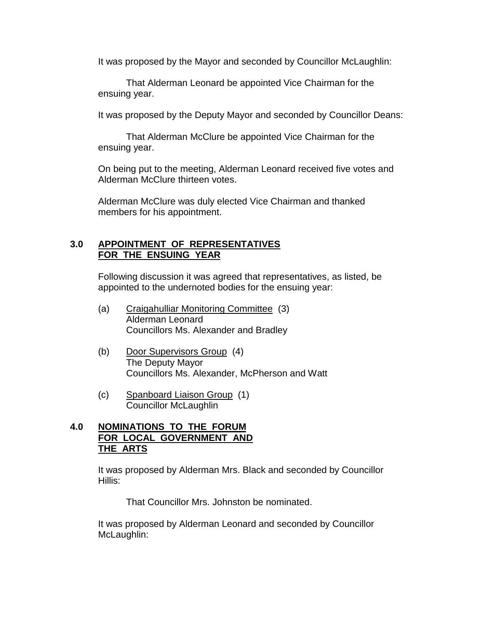It was proposed by the Mayor and seconded by Councillor McLaughlin:

That Alderman Leonard be appointed Vice Chairman for the ensuing year.

It was proposed by the Deputy Mayor and seconded by Councillor Deans:

That Alderman McClure be appointed Vice Chairman for the ensuing year.

On being put to the meeting, Alderman Leonard received five votes and Alderman McClure thirteen votes.

Alderman McClure was duly elected Vice Chairman and thanked members for his appointment.

### **3.0 APPOINTMENT OF REPRESENTATIVES FOR THE ENSUING YEAR**

Following discussion it was agreed that representatives, as listed, be appointed to the undernoted bodies for the ensuing year:

- (a) Craigahulliar Monitoring Committee (3) Alderman Leonard Councillors Ms. Alexander and Bradley
- (b) Door Supervisors Group (4) The Deputy Mayor Councillors Ms. Alexander, McPherson and Watt
- (c) Spanboard Liaison Group (1) Councillor McLaughlin

# **4.0 NOMINATIONS TO THE FORUM FOR LOCAL GOVERNMENT AND THE ARTS**

It was proposed by Alderman Mrs. Black and seconded by Councillor Hillis:

That Councillor Mrs. Johnston be nominated.

It was proposed by Alderman Leonard and seconded by Councillor McLaughlin: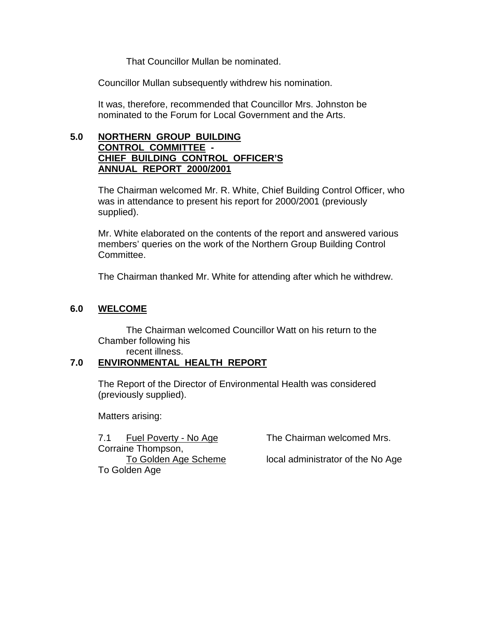That Councillor Mullan be nominated.

Councillor Mullan subsequently withdrew his nomination.

It was, therefore, recommended that Councillor Mrs. Johnston be nominated to the Forum for Local Government and the Arts.

# **5.0 NORTHERN GROUP BUILDING CONTROL COMMITTEE - CHIEF BUILDING CONTROL OFFICER'S ANNUAL REPORT 2000/2001**

The Chairman welcomed Mr. R. White, Chief Building Control Officer, who was in attendance to present his report for 2000/2001 (previously supplied).

Mr. White elaborated on the contents of the report and answered various members' queries on the work of the Northern Group Building Control Committee.

The Chairman thanked Mr. White for attending after which he withdrew.

# **6.0 WELCOME**

The Chairman welcomed Councillor Watt on his return to the Chamber following his

# recent illness.

# **7.0 ENVIRONMENTAL HEALTH REPORT**

The Report of the Director of Environmental Health was considered (previously supplied).

Matters arising:

7.1 Fuel Poverty - No Age The Chairman welcomed Mrs. Corraine Thompson, To Golden Age

To Golden Age Scheme local administrator of the No Age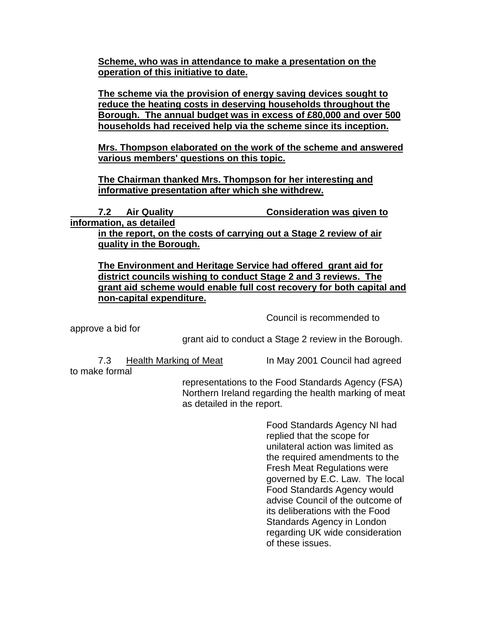**Scheme, who was in attendance to make a presentation on the operation of this initiative to date.**

**The scheme via the provision of energy saving devices sought to reduce the heating costs in deserving households throughout the Borough. The annual budget was in excess of £80,000 and over 500 households had received help via the scheme since its inception.**

**Mrs. Thompson elaborated on the work of the scheme and answered various members' questions on this topic.**

**The Chairman thanked Mrs. Thompson for her interesting and informative presentation after which she withdrew.**

 **7.2 Air Quality Consideration was given to information, as detailed in the report, on the costs of carrying out a Stage 2 review of air quality in the Borough.**

**The Environment and Heritage Service had offered grant aid for district councils wishing to conduct Stage 2 and 3 reviews. The grant aid scheme would enable full cost recovery for both capital and non-capital expenditure.**

Council is recommended to

approve a bid for

grant aid to conduct a Stage 2 review in the Borough.

to make formal

7.3 Health Marking of Meat In May 2001 Council had agreed

representations to the Food Standards Agency (FSA) Northern Ireland regarding the health marking of meat as detailed in the report.

> Food Standards Agency NI had replied that the scope for unilateral action was limited as the required amendments to the Fresh Meat Regulations were governed by E.C. Law. The local Food Standards Agency would advise Council of the outcome of its deliberations with the Food Standards Agency in London regarding UK wide consideration of these issues.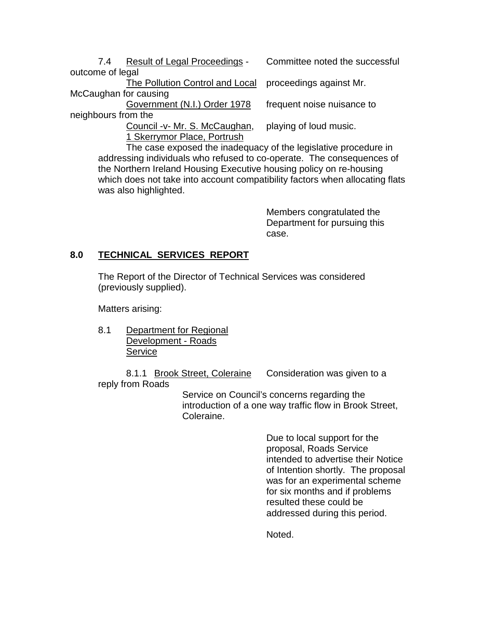7.4 Result of Legal Proceedings - Committee noted the successful outcome of legal

The Pollution Control and Local proceedings against Mr. McCaughan for causing

Government (N.I.) Order 1978 frequent noise nuisance to

neighbours from the

Council -v- Mr. S. McCaughan, playing of loud music. 1 Skerrymor Place, Portrush

The case exposed the inadequacy of the legislative procedure in addressing individuals who refused to co-operate. The consequences of the Northern Ireland Housing Executive housing policy on re-housing which does not take into account compatibility factors when allocating flats was also highlighted.

> Members congratulated the Department for pursuing this case.

# **8.0 TECHNICAL SERVICES REPORT**

The Report of the Director of Technical Services was considered (previously supplied).

Matters arising:

8.1 Department for Regional Development - Roads **Service** 

8.1.1 Brook Street, Coleraine Consideration was given to a reply from Roads

> Service on Council's concerns regarding the introduction of a one way traffic flow in Brook Street, Coleraine.

> > Due to local support for the proposal, Roads Service intended to advertise their Notice of Intention shortly. The proposal was for an experimental scheme for six months and if problems resulted these could be addressed during this period.

Noted.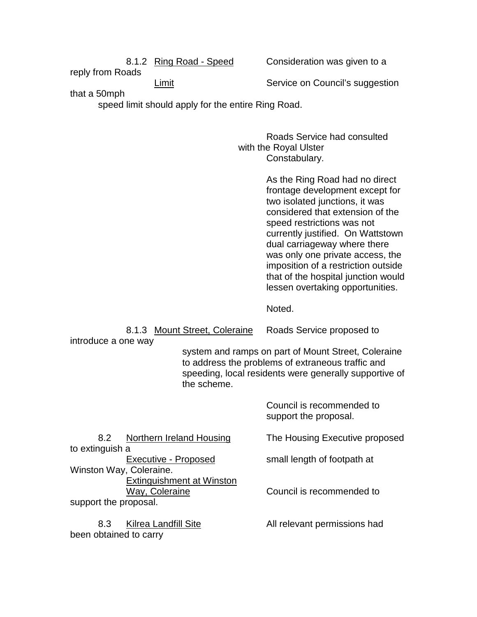reply from Roads

8.1.2 Ring Road - Speed Consideration was given to a

Limit **Service on Council's suggestion** 

that a 50mph

speed limit should apply for the entire Ring Road.

Roads Service had consulted with the Royal Ulster Constabulary.

> As the Ring Road had no direct frontage development except for two isolated junctions, it was considered that extension of the speed restrictions was not currently justified. On Wattstown dual carriageway where there was only one private access, the imposition of a restriction outside that of the hospital junction would lessen overtaking opportunities.

Noted.

8.1.3 Mount Street, Coleraine Roads Service proposed to

introduce a one way

system and ramps on part of Mount Street, Coleraine to address the problems of extraneous traffic and speeding, local residents were generally supportive of the scheme.

> Council is recommended to support the proposal.

to extinguish a Executive - Proposed small length of footpath at Winston Way, Coleraine. Extinguishment at Winston support the proposal.

been obtained to carry

8.2 Northern Ireland Housing The Housing Executive proposed

Way, Coleraine **Council** is recommended to

8.3 Kilrea Landfill Site **All relevant permissions had**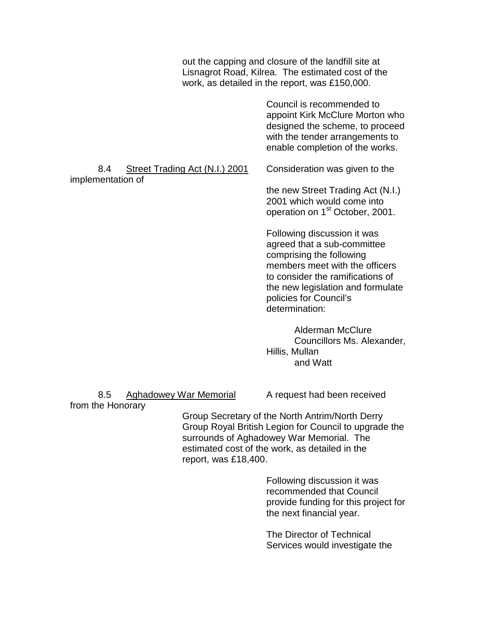out the capping and closure of the landfill site at Lisnagrot Road, Kilrea. The estimated cost of the work, as detailed in the report, was £150,000.

> Council is recommended to appoint Kirk McClure Morton who designed the scheme, to proceed with the tender arrangements to enable completion of the works.

8.4 Street Trading Act (N.I.) 2001 Consideration was given to the implementation of

the new Street Trading Act (N.I.)

2001 which would come into operation on 1<sup>st</sup> October, 2001.

Following discussion it was agreed that a sub-committee comprising the following members meet with the officers to consider the ramifications of the new legislation and formulate policies for Council's determination:

Alderman McClure Councillors Ms. Alexander, Hillis, Mullan and Watt

8.5 Aghadowey War Memorial A request had been received

from the Honorary

Group Secretary of the North Antrim/North Derry Group Royal British Legion for Council to upgrade the surrounds of Aghadowey War Memorial. The estimated cost of the work, as detailed in the report, was £18,400.

> Following discussion it was recommended that Council provide funding for this project for the next financial year.

The Director of Technical Services would investigate the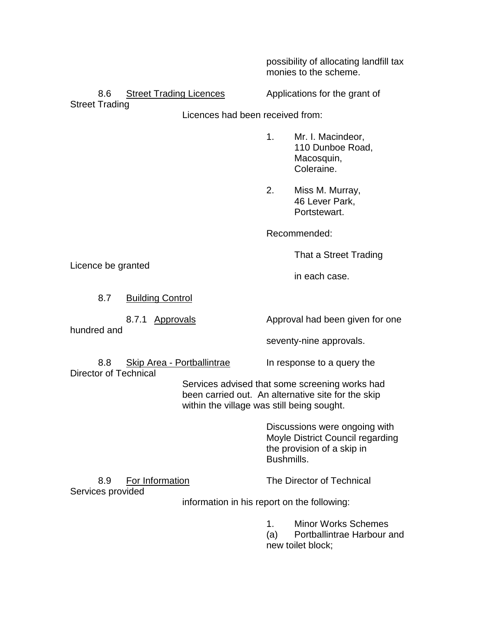possibility of allocating landfill tax monies to the scheme.

8.6 Street Trading Licences Applications for the grant of

Street Trading

Licences had been received from:

- 1. Mr. I. Macindeor, 110 Dunboe Road, Macosquin, Coleraine.
- 2. Miss M. Murray, 46 Lever Park, Portstewart.

Recommended:

That a Street Trading

in each case.

Licence be granted

8.7 Building Control

hundred and

8.7.1 Approvals Approval had been given for one

seventy-nine approvals.

8.8 Skip Area - Portballintrae In response to a query the Director of Technical

Services advised that some screening works had been carried out. An alternative site for the skip within the village was still being sought.

> Discussions were ongoing with Moyle District Council regarding the provision of a skip in Bushmills.

8.9 For Information The Director of Technical

Services provided

information in his report on the following:

1. Minor Works Schemes

(a) Portballintrae Harbour and new toilet block;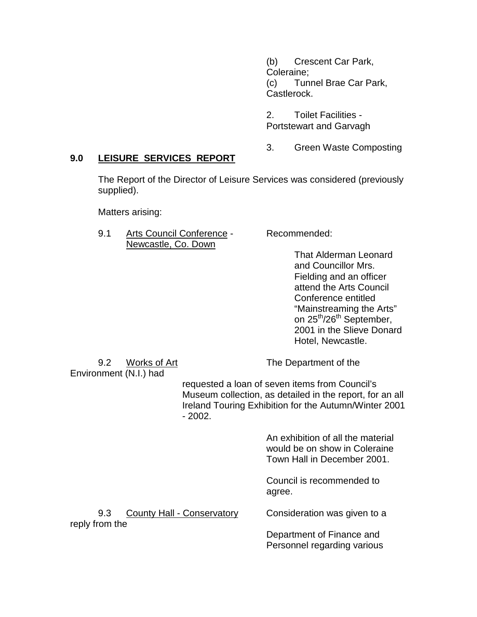(b) Crescent Car Park, Coleraine; (c) Tunnel Brae Car Park, Castlerock.

2. Toilet Facilities - Portstewart and Garvagh

3. Green Waste Composting

## **9.0 LEISURE SERVICES REPORT**

The Report of the Director of Leisure Services was considered (previously supplied).

Matters arising:

9.1 Arts Council Conference - Recommended: Newcastle, Co. Down

That Alderman Leonard and Councillor Mrs. Fielding and an officer attend the Arts Council Conference entitled "Mainstreaming the Arts" on 25<sup>th</sup>/26<sup>th</sup> September, 2001 in the Slieve Donard Hotel, Newcastle.

Environment (N.I.) had

9.2 Works of Art The Department of the

requested a loan of seven items from Council's Museum collection, as detailed in the report, for an all Ireland Touring Exhibition for the Autumn/Winter 2001 - 2002.

> An exhibition of all the material would be on show in Coleraine Town Hall in December 2001.

Council is recommended to agree.

9.3 County Hall - Conservatory Consideration was given to a reply from the

Department of Finance and Personnel regarding various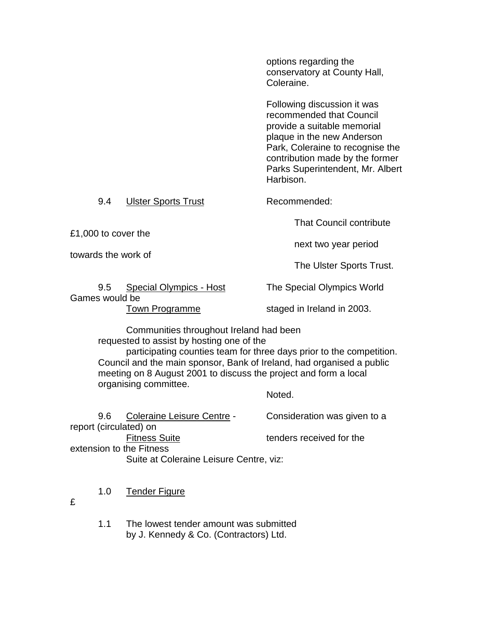options regarding the conservatory at County Hall, Coleraine.

Following discussion it was recommended that Council provide a suitable memorial plaque in the new Anderson Park, Coleraine to recognise the contribution made by the former Parks Superintendent, Mr. Albert Harbison.

9.4 Ulster Sports Trust Recommended:

£1,000 to cover the towards the work of

The Ulster Sports Trust.

That Council contribute

next two year period

9.5 Special Olympics - Host The Special Olympics World Games would be

Town Programme staged in Ireland in 2003.

Communities throughout Ireland had been requested to assist by hosting one of the

 participating counties team for three days prior to the competition. Council and the main sponsor, Bank of Ireland, had organised a public meeting on 8 August 2001 to discuss the project and form a local organising committee.

Noted.

| 96 | Coleraine Leisure Centre -              | Consideration was given to a |
|----|-----------------------------------------|------------------------------|
|    | report (circulated) on                  |                              |
|    | <b>Fitness Suite</b>                    | tenders received for the     |
|    | extension to the Fitness                |                              |
|    | Suite at Coleraine Leisure Centre, viz: |                              |
|    |                                         |                              |

1.0 Tender Figure

£

1.1 The lowest tender amount was submitted by J. Kennedy & Co. (Contractors) Ltd.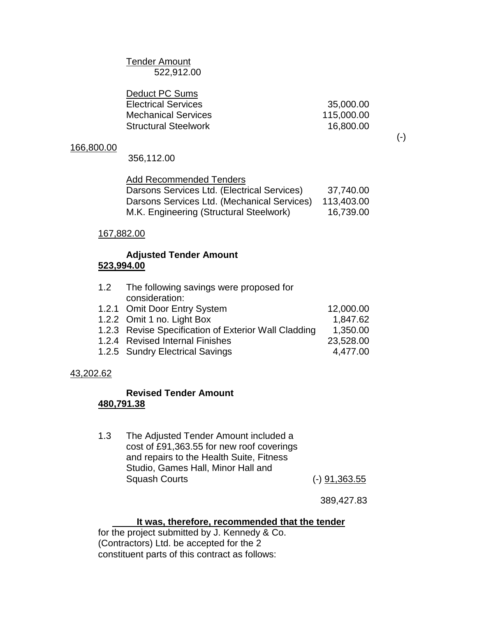Tender Amount 522,912.00

| 35,000.00  |
|------------|
| 115,000.00 |
| 16,800.00  |
|            |

## 166,800.00

356,112.00

## Add Recommended Tenders

| Darsons Services Ltd. (Electrical Services) | 37,740.00  |
|---------------------------------------------|------------|
| Darsons Services Ltd. (Mechanical Services) | 113,403.00 |
| M.K. Engineering (Structural Steelwork)     | 16,739.00  |

## 167,882.00

## **Adjusted Tender Amount 523,994.00**

| 1.2 The following savings were proposed for<br>consideration: |           |
|---------------------------------------------------------------|-----------|
| 1.2.1 Omit Door Entry System                                  | 12,000.00 |
| 1.2.2 Omit 1 no. Light Box                                    | 1,847.62  |
| 1.2.3 Revise Specification of Exterior Wall Cladding          | 1,350.00  |
| 1.2.4 Revised Internal Finishes                               | 23,528.00 |
| 1.2.5 Sundry Electrical Savings                               | 4,477.00  |

## 43,202.62

## **Revised Tender Amount 480,791.38**

1.3 The Adjusted Tender Amount included a cost of £91,363.55 for new roof coverings and repairs to the Health Suite, Fitness Studio, Games Hall, Minor Hall and Squash Courts (-) 91,363.55

389,427.83

## **It was, therefore, recommended that the tender**

for the project submitted by J. Kennedy & Co. (Contractors) Ltd. be accepted for the 2 constituent parts of this contract as follows:

(-)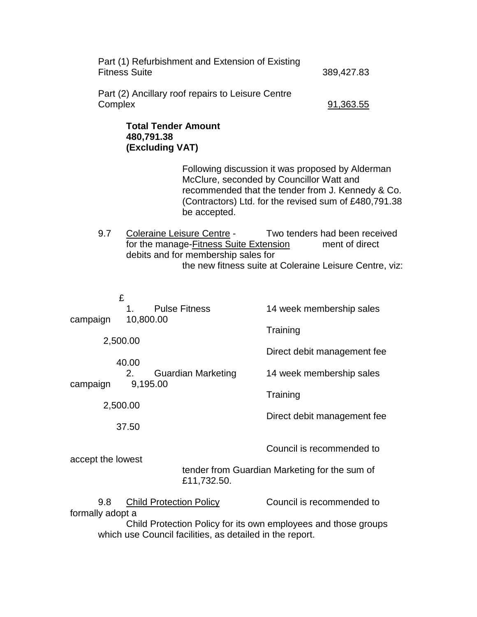| Part (1) Refurbishment and Extension of Existing<br><b>Fitness Suite</b> | 389,427.83 |
|--------------------------------------------------------------------------|------------|
| Part (2) Ancillary roof repairs to Leisure Centre<br>Complex             | 91,363.55  |
| <b>Total Tender Amount</b><br>480 791 38                                 |            |

# **480,791.38 (Excluding VAT)**

Following discussion it was proposed by Alderman McClure, seconded by Councillor Watt and recommended that the tender from J. Kennedy & Co. (Contractors) Ltd. for the revised sum of £480,791.38 be accepted.

9.7 Coleraine Leisure Centre - Two tenders had been received for the manage-Fitness Suite Extension ment of direct debits and for membership sales for the new fitness suite at Coleraine Leisure Centre, viz:

|                                                              | £                                                                                                                          |                             |
|--------------------------------------------------------------|----------------------------------------------------------------------------------------------------------------------------|-----------------------------|
|                                                              | <b>Pulse Fitness</b><br>1.                                                                                                 | 14 week membership sales    |
| campaign                                                     | 10,800.00                                                                                                                  | Training                    |
|                                                              | 2,500.00                                                                                                                   |                             |
|                                                              |                                                                                                                            | Direct debit management fee |
| campaign                                                     | 40.00<br>2.<br><b>Guardian Marketing</b><br>9,195.00                                                                       | 14 week membership sales    |
|                                                              |                                                                                                                            | Training                    |
|                                                              | 2,500.00                                                                                                                   |                             |
|                                                              | 37.50                                                                                                                      | Direct debit management fee |
| accept the lowest                                            |                                                                                                                            | Council is recommended to   |
| tender from Guardian Marketing for the sum of<br>£11,732.50. |                                                                                                                            |                             |
| 9.8<br>formally adopt a                                      | <b>Child Protection Policy</b>                                                                                             | Council is recommended to   |
|                                                              | Child Protection Policy for its own employees and those groups<br>which use Council facilities, as detailed in the report. |                             |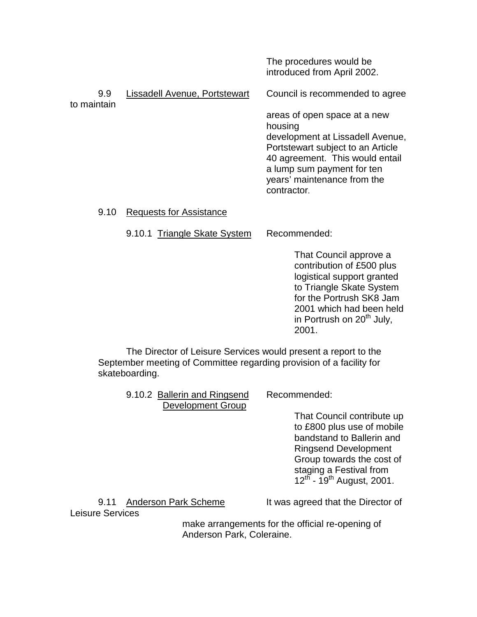The procedures would be introduced from April 2002.

| 9.9<br>to maintain | Lissadell Avenue, Portstewart | Council is recommended to agree                                                                                                                                                                                                 |
|--------------------|-------------------------------|---------------------------------------------------------------------------------------------------------------------------------------------------------------------------------------------------------------------------------|
|                    |                               | areas of open space at a new<br>housing<br>development at Lissadell Avenue,<br>Portstewart subject to an Article<br>40 agreement. This would entail<br>a lump sum payment for ten<br>years' maintenance from the<br>contractor. |

9.10 Requests for Assistance

9.10.1 Triangle Skate System Recommended:

That Council approve a contribution of £500 plus logistical support granted to Triangle Skate System for the Portrush SK8 Jam 2001 which had been held in Portrush on  $20<sup>th</sup>$  July, 2001.

The Director of Leisure Services would present a report to the September meeting of Committee regarding provision of a facility for skateboarding.

| 9.10.2 Ballerin and Ringsend | Recommended:        |
|------------------------------|---------------------|
| <b>Development Group</b>     |                     |
|                              | <b>That Council</b> |

That Council contribute up to £800 plus use of mobile bandstand to Ballerin and Ringsend Development Group towards the cost of staging a Festival from  $12^{th}$  -  $19^{th}$  August, 2001.

9.11 Anderson Park Scheme It was agreed that the Director of

Leisure Services

make arrangements for the official re-opening of Anderson Park, Coleraine.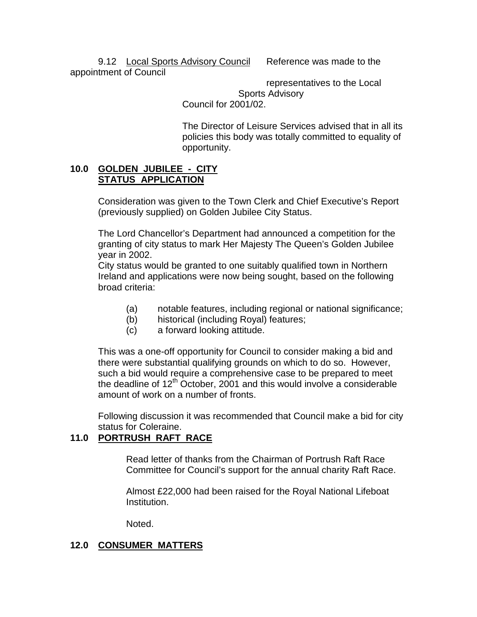9.12 Local Sports Advisory Council Reference was made to the appointment of Council

> representatives to the Local Sports Advisory Council for 2001/02.

The Director of Leisure Services advised that in all its policies this body was totally committed to equality of opportunity.

## **10.0 GOLDEN JUBILEE - CITY STATUS APPLICATION**

Consideration was given to the Town Clerk and Chief Executive's Report (previously supplied) on Golden Jubilee City Status.

The Lord Chancellor's Department had announced a competition for the granting of city status to mark Her Majesty The Queen's Golden Jubilee year in 2002.

City status would be granted to one suitably qualified town in Northern Ireland and applications were now being sought, based on the following broad criteria:

- (a) notable features, including regional or national significance;
- (b) historical (including Royal) features;
- (c) a forward looking attitude.

This was a one-off opportunity for Council to consider making a bid and there were substantial qualifying grounds on which to do so. However, such a bid would require a comprehensive case to be prepared to meet the deadline of  $12<sup>th</sup>$  October, 2001 and this would involve a considerable amount of work on a number of fronts.

Following discussion it was recommended that Council make a bid for city status for Coleraine.

# **11.0 PORTRUSH RAFT RACE**

Read letter of thanks from the Chairman of Portrush Raft Race Committee for Council's support for the annual charity Raft Race.

Almost £22,000 had been raised for the Royal National Lifeboat Institution.

Noted.

# **12.0 CONSUMER MATTERS**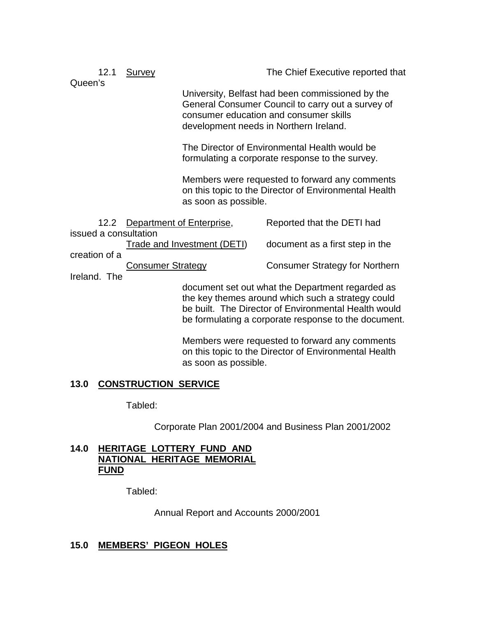12.1 Survey The Chief Executive reported that Queen's University, Belfast had been commissioned by the General Consumer Council to carry out a survey of consumer education and consumer skills development needs in Northern Ireland. The Director of Environmental Health would be formulating a corporate response to the survey. Members were requested to forward any comments on this topic to the Director of Environmental Health as soon as possible. 12.2 Department of Enterprise, Reported that the DETI had issued a consultation Trade and Investment (DETI) document as a first step in the creation of a Consumer Strategy Consumer Strategy for Northern Ireland. The document set out what the Department regarded as the key themes around which such a strategy could be built. The Director of Environmental Health would be formulating a corporate response to the document. Members were requested to forward any comments on this topic to the Director of Environmental Health

## **13.0 CONSTRUCTION SERVICE**

Tabled:

Corporate Plan 2001/2004 and Business Plan 2001/2002

## **14.0 HERITAGE LOTTERY FUND AND NATIONAL HERITAGE MEMORIAL FUND**

Tabled:

Annual Report and Accounts 2000/2001

as soon as possible.

## **15.0 MEMBERS' PIGEON HOLES**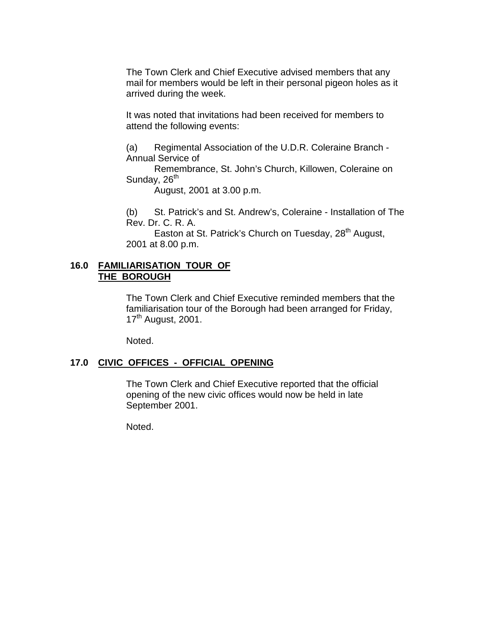The Town Clerk and Chief Executive advised members that any mail for members would be left in their personal pigeon holes as it arrived during the week.

It was noted that invitations had been received for members to attend the following events:

(a) Regimental Association of the U.D.R. Coleraine Branch - Annual Service of

Remembrance, St. John's Church, Killowen, Coleraine on Sunday,  $26<sup>th</sup>$ 

August, 2001 at 3.00 p.m.

(b) St. Patrick's and St. Andrew's, Coleraine - Installation of The Rev. Dr. C. R. A.

Easton at St. Patrick's Church on Tuesday,  $28<sup>th</sup>$  August, 2001 at 8.00 p.m.

## **16.0 FAMILIARISATION TOUR OF THE BOROUGH**

The Town Clerk and Chief Executive reminded members that the familiarisation tour of the Borough had been arranged for Friday,  $17<sup>th</sup>$  August, 2001.

Noted.

## **17.0 CIVIC OFFICES - OFFICIAL OPENING**

The Town Clerk and Chief Executive reported that the official opening of the new civic offices would now be held in late September 2001.

Noted.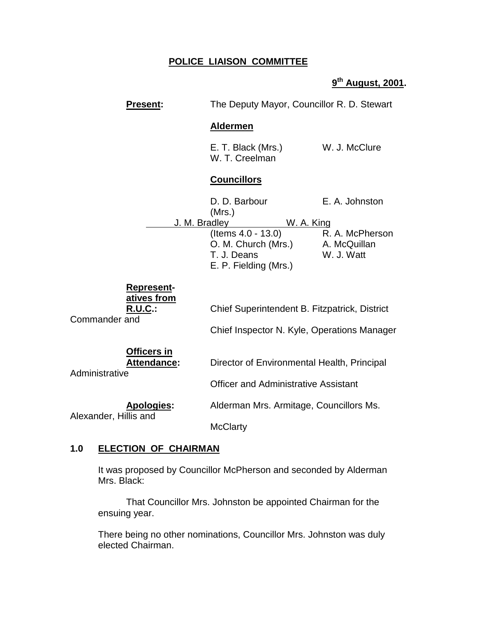# **POLICE LIAISON COMMITTEE**

**9th August, 2001.**

|                       | <b>Present:</b>                                    | The Deputy Mayor, Councillor R. D. Stewart                                                      |                                               |
|-----------------------|----------------------------------------------------|-------------------------------------------------------------------------------------------------|-----------------------------------------------|
|                       |                                                    | <b>Aldermen</b>                                                                                 |                                               |
|                       |                                                    | E. T. Black (Mrs.)<br>W. T. Creelman                                                            | W. J. McClure                                 |
|                       |                                                    | <b>Councillors</b>                                                                              |                                               |
|                       |                                                    | D. D. Barbour<br>(Mrs.)                                                                         | E. A. Johnston                                |
|                       | J. M. Bradley                                      | W. A. King<br>(Items 4.0 - 13.0)<br>O. M. Church (Mrs.)<br>T. J. Deans<br>E. P. Fielding (Mrs.) | R. A. McPherson<br>A. McQuillan<br>W. J. Watt |
| Commander and         | <u>Represent-</u><br>atives from<br><b>R.U.C.:</b> | Chief Superintendent B. Fitzpatrick, District<br>Chief Inspector N. Kyle, Operations Manager    |                                               |
| Administrative        | <b>Officers in</b><br><b>Attendance:</b>           | Director of Environmental Health, Principal<br><b>Officer and Administrative Assistant</b>      |                                               |
| Alexander, Hillis and | <b>Apologies:</b>                                  | Alderman Mrs. Armitage, Councillors Ms.<br><b>McClarty</b>                                      |                                               |

# **1.0 ELECTION OF CHAIRMAN**

It was proposed by Councillor McPherson and seconded by Alderman Mrs. Black:

That Councillor Mrs. Johnston be appointed Chairman for the ensuing year.

There being no other nominations, Councillor Mrs. Johnston was duly elected Chairman.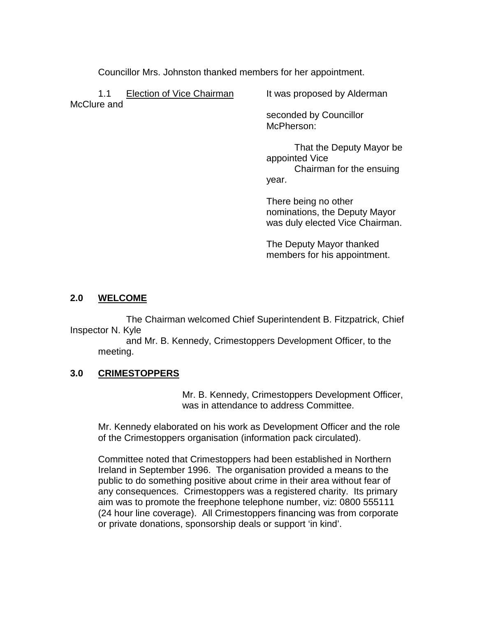Councillor Mrs. Johnston thanked members for her appointment.

1.1 Election of Vice Chairman It was proposed by Alderman McClure and

seconded by Councillor McPherson:

That the Deputy Mayor be appointed Vice Chairman for the ensuing year.

There being no other nominations, the Deputy Mayor was duly elected Vice Chairman.

The Deputy Mayor thanked members for his appointment.

# **2.0 WELCOME**

The Chairman welcomed Chief Superintendent B. Fitzpatrick, Chief Inspector N. Kyle

and Mr. B. Kennedy, Crimestoppers Development Officer, to the meeting.

# **3.0 CRIMESTOPPERS**

Mr. B. Kennedy, Crimestoppers Development Officer, was in attendance to address Committee.

Mr. Kennedy elaborated on his work as Development Officer and the role of the Crimestoppers organisation (information pack circulated).

Committee noted that Crimestoppers had been established in Northern Ireland in September 1996. The organisation provided a means to the public to do something positive about crime in their area without fear of any consequences. Crimestoppers was a registered charity. Its primary aim was to promote the freephone telephone number, viz: 0800 555111 (24 hour line coverage). All Crimestoppers financing was from corporate or private donations, sponsorship deals or support 'in kind'.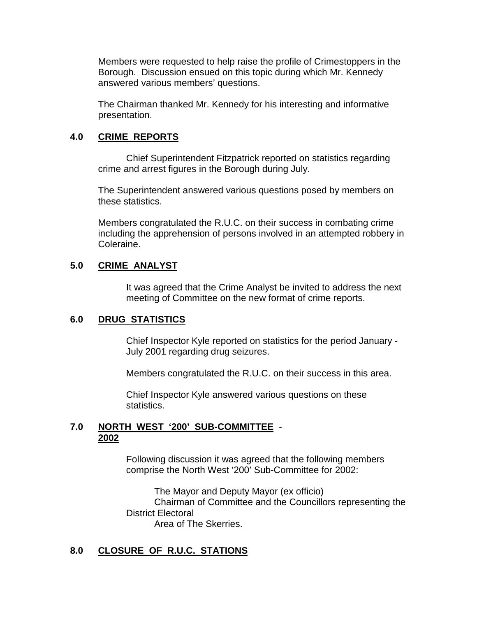Members were requested to help raise the profile of Crimestoppers in the Borough. Discussion ensued on this topic during which Mr. Kennedy answered various members' questions.

The Chairman thanked Mr. Kennedy for his interesting and informative presentation.

## **4.0 CRIME REPORTS**

Chief Superintendent Fitzpatrick reported on statistics regarding crime and arrest figures in the Borough during July.

The Superintendent answered various questions posed by members on these statistics.

Members congratulated the R.U.C. on their success in combating crime including the apprehension of persons involved in an attempted robbery in Coleraine.

## **5.0 CRIME ANALYST**

It was agreed that the Crime Analyst be invited to address the next meeting of Committee on the new format of crime reports.

# **6.0 DRUG STATISTICS**

Chief Inspector Kyle reported on statistics for the period January - July 2001 regarding drug seizures.

Members congratulated the R.U.C. on their success in this area.

Chief Inspector Kyle answered various questions on these statistics.

## **7.0 NORTH WEST '200' SUB-COMMITTEE** - **2002**

Following discussion it was agreed that the following members comprise the North West '200' Sub-Committee for 2002:

The Mayor and Deputy Mayor (ex officio) Chairman of Committee and the Councillors representing the District Electoral Area of The Skerries.

# **8.0 CLOSURE OF R.U.C. STATIONS**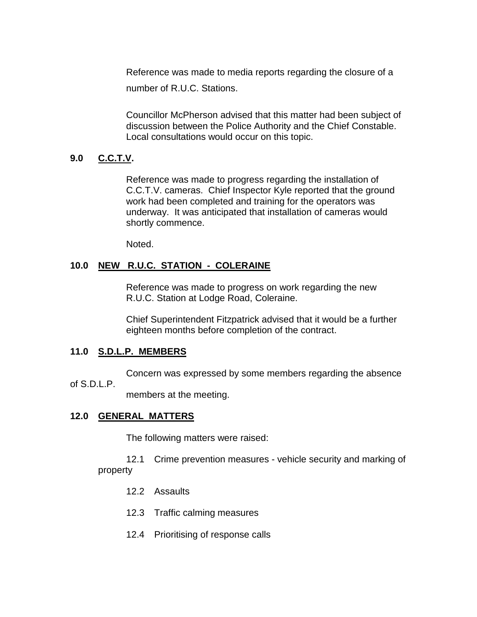Reference was made to media reports regarding the closure of a number of R.U.C. Stations.

Councillor McPherson advised that this matter had been subject of discussion between the Police Authority and the Chief Constable. Local consultations would occur on this topic.

# **9.0 C.C.T.V.**

Reference was made to progress regarding the installation of C.C.T.V. cameras. Chief Inspector Kyle reported that the ground work had been completed and training for the operators was underway. It was anticipated that installation of cameras would shortly commence.

Noted.

## **10.0 NEW R.U.C. STATION - COLERAINE**

Reference was made to progress on work regarding the new R.U.C. Station at Lodge Road, Coleraine.

Chief Superintendent Fitzpatrick advised that it would be a further eighteen months before completion of the contract.

## **11.0 S.D.L.P. MEMBERS**

Concern was expressed by some members regarding the absence

## of S.D.L.P.

members at the meeting.

## **12.0 GENERAL MATTERS**

The following matters were raised:

12.1 Crime prevention measures - vehicle security and marking of property

- 12.2 Assaults
- 12.3 Traffic calming measures
- 12.4 Prioritising of response calls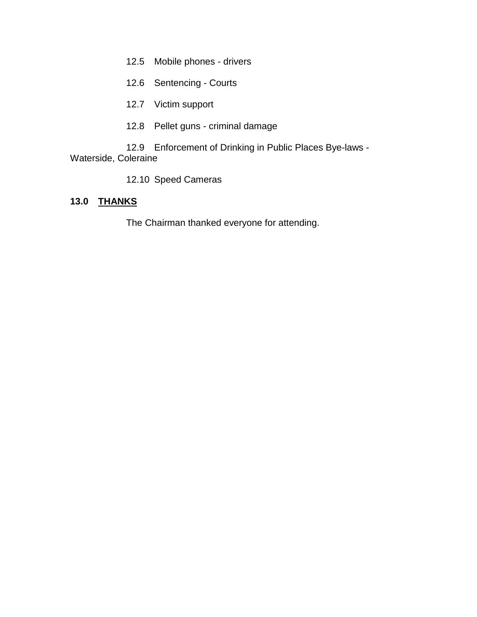- 12.5 Mobile phones drivers
- 12.6 Sentencing Courts
- 12.7 Victim support
- 12.8 Pellet guns criminal damage

12.9 Enforcement of Drinking in Public Places Bye-laws - Waterside, Coleraine

12.10 Speed Cameras

## **13.0 THANKS**

The Chairman thanked everyone for attending.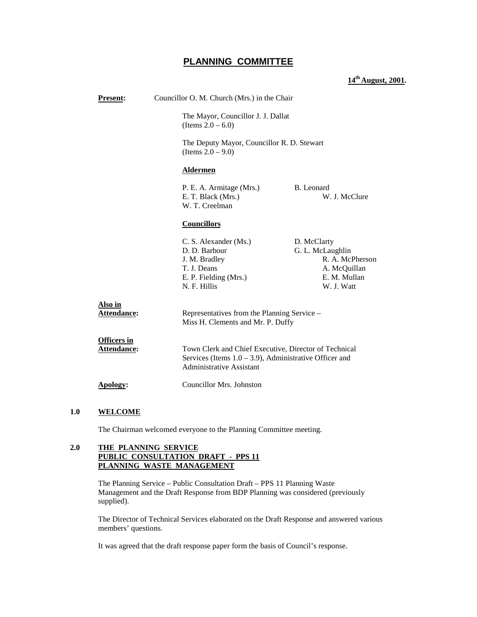## **PLANNING COMMITTEE**

#### **14th August, 2001.**

| <b>Present:</b>                   | Councillor O. M. Church (Mrs.) in the Chair                                                                                                           |                                                                                                  |  |
|-----------------------------------|-------------------------------------------------------------------------------------------------------------------------------------------------------|--------------------------------------------------------------------------------------------------|--|
|                                   | (Items $2.0 - 6.0$ )                                                                                                                                  | The Mayor, Councillor J. J. Dallat                                                               |  |
|                                   | (Items $2.0 - 9.0$ )                                                                                                                                  | The Deputy Mayor, Councillor R. D. Stewart                                                       |  |
|                                   | <b>Aldermen</b>                                                                                                                                       |                                                                                                  |  |
|                                   | <b>B.</b> Leonard<br>P. E. A. Armitage (Mrs.)<br>W. J. McClure<br>E. T. Black (Mrs.)<br>W. T. Creelman                                                |                                                                                                  |  |
|                                   | <b>Councillors</b>                                                                                                                                    |                                                                                                  |  |
|                                   | C. S. Alexander (Ms.)<br>D. D. Barbour<br>J. M. Bradley<br>T. J. Deans<br>E. P. Fielding (Mrs.)<br>N. F. Hillis                                       | D. McClarty<br>G. L. McLaughlin<br>R. A. McPherson<br>A. McQuillan<br>E. M. Mullan<br>W. J. Watt |  |
| Also in<br>Attendance:            | Representatives from the Planning Service -<br>Miss H. Clements and Mr. P. Duffy                                                                      |                                                                                                  |  |
| <b>Officers</b> in<br>Attendance: | Town Clerk and Chief Executive, Director of Technical<br>Services (Items $1.0 - 3.9$ ), Administrative Officer and<br><b>Administrative Assistant</b> |                                                                                                  |  |
| Apology:                          | Councillor Mrs. Johnston                                                                                                                              |                                                                                                  |  |

#### **1.0 WELCOME**

The Chairman welcomed everyone to the Planning Committee meeting.

#### **2.0 THE PLANNING SERVICE PUBLIC CONSULTATION DRAFT - PPS 11 PLANNING WASTE MANAGEMENT**

The Planning Service – Public Consultation Draft – PPS 11 Planning Waste Management and the Draft Response from BDP Planning was considered (previously supplied).

The Director of Technical Services elaborated on the Draft Response and answered various members' questions.

It was agreed that the draft response paper form the basis of Council's response.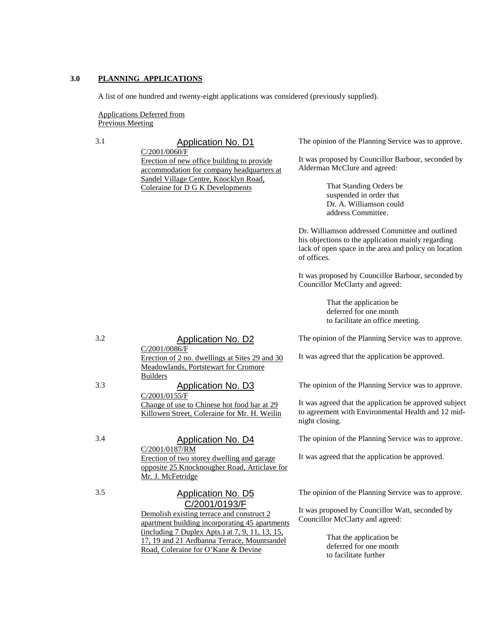#### **3.0 PLANNING APPLICATIONS**

A list of one hundred and twenty-eight applications was considered (previously supplied).

Applications Deferred from Previous Meeting

# 3.1 Application No. D1

C/2001/0060/F Erection of new office building to provide accommodation for company headquarters at Sandel Village Centre, Knocklyn Road, Coleraine for D G K Developments

The opinion of the Planning Service was to approve.

It was proposed by Councillor Barbour, seconded by Alderman McClure and agreed:

> That Standing Orders be suspended in order that Dr. A. Williamson could address Committee.

Dr. Williamson addressed Committee and outlined his objections to the application mainly regarding lack of open space in the area and policy on location of offices.

It was proposed by Councillor Barbour, seconded by Councillor McClarty and agreed:

> That the application be deferred for one month to facilitate an office meeting.

The opinion of the Planning Service was to approve.

It was agreed that the application be approved.

The opinion of the Planning Service was to approve.

It was agreed that the application be approved subject to agreement with Environmental Health and 12 midnight closing.

The opinion of the Planning Service was to approve.

It was agreed that the application be approved.

The opinion of the Planning Service was to approve.

It was proposed by Councillor Watt, seconded by Councillor McClarty and agreed:

> That the application be deferred for one month to facilitate further

### 3.2 Application No. D2

C/2001/0086/F Erection of 2 no. dwellings at Sites 29 and 30 Meadowlands, Portstewart for Cromore Builders

3.3 Application No. D3 C/2001/0155/F Change of use to Chinese hot food bar at 29

## 3.4 Application No. D4

Killowen Street, Coleraine for Mr. H. Weilin

C/2001/0187/RM Erection of two storey dwelling and garage opposite 25 Knocknougher Road, Articlave for Mr. J. McFetridge

# 3.5 Application No. D5 C/2001/0193/F

Demolish existing terrace and construct 2 apartment building incorporating 45 apartments (including 7 Duplex Apts.) at 7, 9, 11, 13, 15, 17, 19 and 21 Ardbanna Terrace, Mountsandel Road, Coleraine for O'Kane & Devine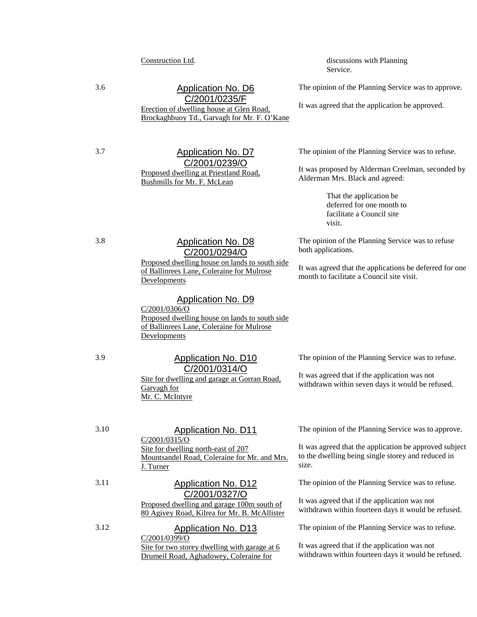## 3.6 Application No. D6 C/2001/0235/F

Erection of dwelling house at Glen Road, Brockaghbuoy Td., Garvagh for Mr. F. O'Kane

#### 3.7 Application No. D7 C/2001/0239/O Proposed dwelling at Priestland Road, Bushmills for Mr. F. McLean

Construction Ltd. discussions with Planning Service.

The opinion of the Planning Service was to approve.

It was agreed that the application be approved.

The opinion of the Planning Service was to refuse.

It was proposed by Alderman Creelman, seconded by Alderman Mrs. Black and agreed:

> That the application be deferred for one month to facilitate a Council site visit.

The opinion of the Planning Service was to refuse both applications.

It was agreed that the applications be deferred for one month to facilitate a Council site visit.

#### 3.8 Application No. D8 C/2001/0294/O

Proposed dwelling house on lands to south side of Ballinrees Lane, Coleraine for Mulrose Developments

#### Application No. D9

C/2001/0306/O Proposed dwelling house on lands to south side of Ballinrees Lane, Coleraine for Mulrose Developments

## 3.9 Application No. D10 C/2001/0314/O

Site for dwelling and garage at Gorran Road, Garvagh for Mr. C. McIntyre

The opinion of the Planning Service was to refuse.

It was agreed that if the application was not withdrawn within seven days it would be refused.

3.10 Application No. D11 C/2001/0315/O Site for dwelling north-east of 207

Mountsandel Road, Coleraine for Mr. and Mrs. J. Turner

#### 3.11 Application No. D12 C/2001/0327/O

Proposed dwelling and garage 100m south of 80 Agivey Road, Kilrea for Mr. B. McAllister

#### 3.12 Application No. D13 C/2001/0399/O Site for two storey dwelling with garage at 6 Drumeil Road, Aghadowey, Coleraine for

The opinion of the Planning Service was to approve.

It was agreed that the application be approved subject to the dwelling being single storey and reduced in size.

The opinion of the Planning Service was to refuse.

It was agreed that if the application was not withdrawn within fourteen days it would be refused.

The opinion of the Planning Service was to refuse.

It was agreed that if the application was not withdrawn within fourteen days it would be refused.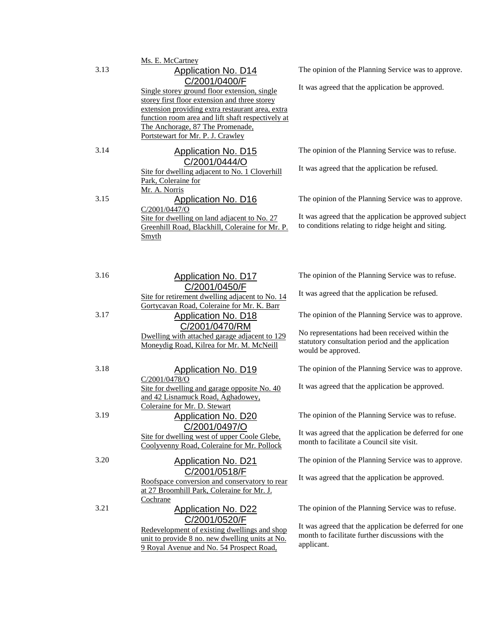|      | Ms. E. McCartney                                                                                                                                                                                                                                                                                                               |                                                                                                                                                                                   |
|------|--------------------------------------------------------------------------------------------------------------------------------------------------------------------------------------------------------------------------------------------------------------------------------------------------------------------------------|-----------------------------------------------------------------------------------------------------------------------------------------------------------------------------------|
| 3.13 | <b>Application No. D14</b><br>C/2001/0400/F<br>Single storey ground floor extension, single<br>storey first floor extension and three storey<br>extension providing extra restaurant area, extra<br>function room area and lift shaft respectively at<br>The Anchorage, 87 The Promenade,<br>Portstewart for Mr. P. J. Crawley | The opinion of the Planning Service was to approve.<br>It was agreed that the application be approved.                                                                            |
| 3.14 | <b>Application No. D15</b><br>C/2001/0444/O<br>Site for dwelling adjacent to No. 1 Cloverhill<br>Park, Coleraine for<br>Mr. A. Norris                                                                                                                                                                                          | The opinion of the Planning Service was to refuse.<br>It was agreed that the application be refused.                                                                              |
| 3.15 | <b>Application No. D16</b><br>C/2001/0447/O<br>Site for dwelling on land adjacent to No. 27<br>Greenhill Road, Blackhill, Coleraine for Mr. P.<br>Smyth                                                                                                                                                                        | The opinion of the Planning Service was to approve.<br>It was agreed that the application be approved subject<br>to conditions relating to ridge height and siting.               |
| 3.16 | <b>Application No. D17</b><br>C/2001/0450/F<br>Site for retirement dwelling adjacent to No. 14                                                                                                                                                                                                                                 | The opinion of the Planning Service was to refuse.<br>It was agreed that the application be refused.                                                                              |
| 3.17 | Gortycavan Road, Coleraine for Mr. K. Barr<br><b>Application No. D18</b><br>C/2001/0470/RM<br>Dwelling with attached garage adjacent to 129<br>Moneydig Road, Kilrea for Mr. M. McNeill                                                                                                                                        | The opinion of the Planning Service was to approve.<br>No representations had been received within the<br>statutory consultation period and the application<br>would be approved. |
| 3.18 | <b>Application No. D19</b><br>$C/2001/0478$ /O<br>Site for dwelling and garage opposite No. 40<br>and 42 Lisnamuck Road, Aghadowey,<br>Coleraine for Mr. D. Stewart                                                                                                                                                            | The opinion of the Planning Service was to approve.<br>It was agreed that the application be approved.                                                                            |
| 3.19 | <b>Application No. D20</b><br>C/2001/0497/O<br>Site for dwelling west of upper Coole Glebe,<br>Coolyvenny Road, Coleraine for Mr. Pollock                                                                                                                                                                                      | The opinion of the Planning Service was to refuse.<br>It was agreed that the application be deferred for one<br>month to facilitate a Council site visit.                         |
| 3.20 | <b>Application No. D21</b><br>C/2001/0518/F<br>Roofspace conversion and conservatory to rear<br>at 27 Broomhill Park, Coleraine for Mr. J.<br>Cochrane                                                                                                                                                                         | The opinion of the Planning Service was to approve.<br>It was agreed that the application be approved.                                                                            |
| 3.21 | <b>Application No. D22</b><br>C/2001/0520/F<br>Redevelopment of existing dwellings and shop<br>unit to provide 8 no. new dwelling units at No.<br>9 Royal Avenue and No. 54 Prospect Road,                                                                                                                                     | The opinion of the Planning Service was to refuse.<br>It was agreed that the application be deferred for one<br>month to facilitate further discussions with the<br>applicant.    |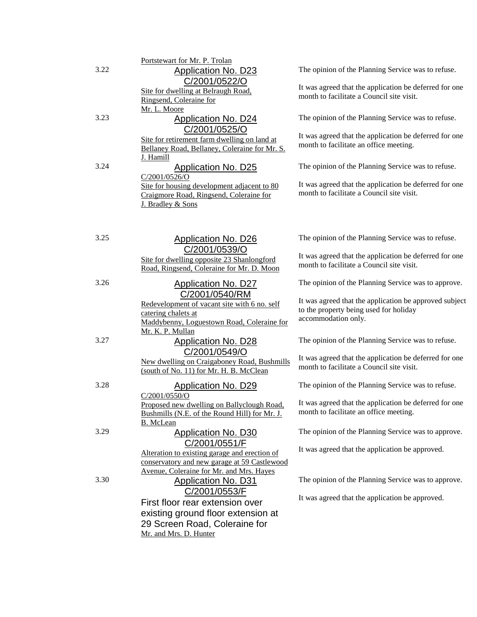|      | Portstewart for Mr. P. Trolan                                 |                                                                                                     |
|------|---------------------------------------------------------------|-----------------------------------------------------------------------------------------------------|
| 3.22 | <b>Application No. D23</b>                                    | The opinion of the Planning Service was to refuse.                                                  |
|      | C/2001/0522/O                                                 | It was agreed that the application be deferred for one                                              |
|      | Site for dwelling at Belraugh Road,                           | month to facilitate a Council site visit.                                                           |
|      | Ringsend, Coleraine for<br>Mr. L. Moore                       |                                                                                                     |
| 3.23 | <b>Application No. D24</b>                                    | The opinion of the Planning Service was to refuse.                                                  |
|      |                                                               |                                                                                                     |
|      | C/2001/0525/O<br>Site for retirement farm dwelling on land at | It was agreed that the application be deferred for one                                              |
|      | Bellaney Road, Bellaney, Coleraine for Mr. S.                 | month to facilitate an office meeting.                                                              |
|      | J. Hamill                                                     |                                                                                                     |
| 3.24 | <b>Application No. D25</b>                                    | The opinion of the Planning Service was to refuse.                                                  |
|      | C/2001/0526/O                                                 |                                                                                                     |
|      | Site for housing development adjacent to 80                   | It was agreed that the application be deferred for one                                              |
|      | Craigmore Road, Ringsend, Coleraine for                       | month to facilitate a Council site visit.                                                           |
|      | J. Bradley & Sons                                             |                                                                                                     |
|      |                                                               |                                                                                                     |
|      |                                                               |                                                                                                     |
| 3.25 |                                                               | The opinion of the Planning Service was to refuse.                                                  |
|      | <b>Application No. D26</b>                                    |                                                                                                     |
|      | C/2001/0539/O                                                 | It was agreed that the application be deferred for one                                              |
|      | Site for dwelling opposite 23 Shanlongford                    | month to facilitate a Council site visit.                                                           |
|      | Road, Ringsend, Coleraine for Mr. D. Moon                     |                                                                                                     |
| 3.26 | <b>Application No. D27</b>                                    | The opinion of the Planning Service was to approve.                                                 |
|      | C/2001/0540/RM                                                |                                                                                                     |
|      | Redevelopment of vacant site with 6 no. self                  | It was agreed that the application be approved subject                                              |
|      | catering chalets at                                           | to the property being used for holiday                                                              |
|      | Maddybenny, Loguestown Road, Coleraine for                    | accommodation only.                                                                                 |
|      | Mr. K. P. Mullan                                              |                                                                                                     |
| 3.27 | <b>Application No. D28</b>                                    | The opinion of the Planning Service was to refuse.                                                  |
|      | C/2001/0549/O                                                 |                                                                                                     |
|      | New dwelling on Craigaboney Road, Bushmills                   | It was agreed that the application be deferred for one<br>month to facilitate a Council site visit. |
|      | (south of No. 11) for Mr. H. B. McClean                       |                                                                                                     |
| 3.28 | <b>Application No. D29</b>                                    | The opinion of the Planning Service was to refuse.                                                  |
|      | C/2001/0550/O                                                 |                                                                                                     |
|      | Proposed new dwelling on Ballyclough Road,                    | It was agreed that the application be deferred for one                                              |
|      | Bushmills (N.E. of the Round Hill) for Mr. J.                 | month to facilitate an office meeting.                                                              |
|      | B. McLean                                                     |                                                                                                     |
| 3.29 | <b>Application No. D30</b>                                    | The opinion of the Planning Service was to approve.                                                 |
|      | C/2001/0551/F                                                 |                                                                                                     |
|      | Alteration to existing garage and erection of                 | It was agreed that the application be approved.                                                     |
|      | conservatory and new garage at 59 Castlewood                  |                                                                                                     |
|      | Avenue, Coleraine for Mr. and Mrs. Hayes                      |                                                                                                     |
| 3.30 | <b>Application No. D31</b>                                    | The opinion of the Planning Service was to approve.                                                 |
|      | C/2001/0553/F                                                 |                                                                                                     |
|      | First floor rear extension over                               | It was agreed that the application be approved.                                                     |
|      | existing ground floor extension at                            |                                                                                                     |
|      | 29 Screen Road, Coleraine for                                 |                                                                                                     |
|      | Mr. and Mrs. D. Hunter                                        |                                                                                                     |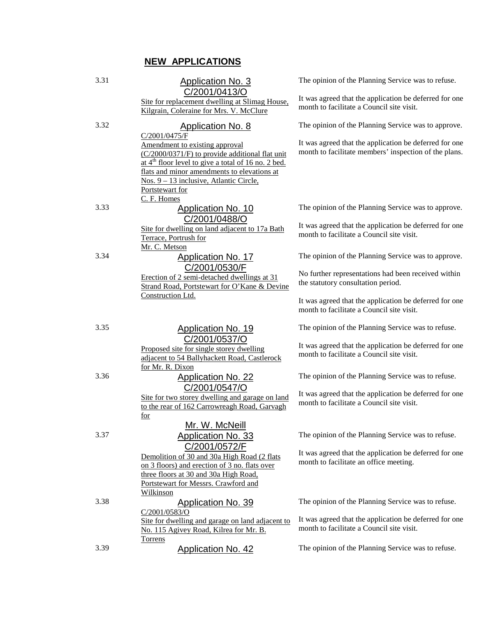# **NEW APPLICATIONS**

| 3.31 | Application No. 3                                                                                                                                                                                                                                                                       | The opinion of the Planning Service was to refuse.                                                              |
|------|-----------------------------------------------------------------------------------------------------------------------------------------------------------------------------------------------------------------------------------------------------------------------------------------|-----------------------------------------------------------------------------------------------------------------|
|      | C/2001/0413/O<br>Site for replacement dwelling at Slimag House,<br>Kilgrain, Coleraine for Mrs. V. McClure                                                                                                                                                                              | It was agreed that the application be deferred for one<br>month to facilitate a Council site visit.             |
| 3.32 | <b>Application No. 8</b>                                                                                                                                                                                                                                                                | The opinion of the Planning Service was to approve.                                                             |
|      | C/2001/0475/F<br>Amendment to existing approval<br>(C/2000/0371/F) to provide additional flat unit<br>at $4th$ floor level to give a total of 16 no. 2 bed.<br>flats and minor amendments to elevations at<br>Nos. 9 – 13 inclusive, Atlantic Circle,<br>Portstewart for<br>C. F. Homes | It was agreed that the application be deferred for one<br>month to facilitate members' inspection of the plans. |
| 3.33 | <b>Application No. 10</b>                                                                                                                                                                                                                                                               | The opinion of the Planning Service was to approve.                                                             |
|      | C/2001/0488/O<br>Site for dwelling on land adjacent to 17a Bath<br>Terrace, Portrush for<br>Mr. C. Metson                                                                                                                                                                               | It was agreed that the application be deferred for one<br>month to facilitate a Council site visit.             |
| 3.34 | <b>Application No. 17</b>                                                                                                                                                                                                                                                               | The opinion of the Planning Service was to approve.                                                             |
|      | C/2001/0530/F<br>Erection of 2 semi-detached dwellings at 31<br>Strand Road, Portstewart for O'Kane & Devine                                                                                                                                                                            | No further representations had been received within<br>the statutory consultation period.                       |
|      | Construction Ltd.                                                                                                                                                                                                                                                                       | It was agreed that the application be deferred for one<br>month to facilitate a Council site visit.             |
| 3.35 | <b>Application No. 19</b>                                                                                                                                                                                                                                                               | The opinion of the Planning Service was to refuse.                                                              |
|      | C/2001/0537/O<br>Proposed site for single storey dwelling<br>adjacent to 54 Ballyhackett Road, Castlerock<br>for Mr. R. Dixon                                                                                                                                                           | It was agreed that the application be deferred for one<br>month to facilitate a Council site visit.             |
| 3.36 | <b>Application No. 22</b>                                                                                                                                                                                                                                                               | The opinion of the Planning Service was to refuse.                                                              |
|      | C/2001/0547/O<br>Site for two storey dwelling and garage on land<br>to the rear of 162 Carrowreagh Road, Garvagh<br>for                                                                                                                                                                 | It was agreed that the application be deferred for one<br>month to facilitate a Council site visit.             |
|      | Mr. W. McNeill                                                                                                                                                                                                                                                                          |                                                                                                                 |
| 3.37 | <b>Application No. 33</b><br>C/2001/0572/F                                                                                                                                                                                                                                              | The opinion of the Planning Service was to refuse.                                                              |
|      | Demolition of 30 and 30a High Road (2 flats<br>on 3 floors) and erection of 3 no. flats over<br>three floors at 30 and 30a High Road,                                                                                                                                                   | It was agreed that the application be deferred for one<br>month to facilitate an office meeting.                |
|      | Portstewart for Messrs. Crawford and                                                                                                                                                                                                                                                    |                                                                                                                 |
| 3.38 | <b>Wilkinson</b><br><b>Application No. 39</b>                                                                                                                                                                                                                                           | The opinion of the Planning Service was to refuse.                                                              |
|      | C/2001/0583/O<br>Site for dwelling and garage on land adjacent to<br>No. 115 Agivey Road, Kilrea for Mr. B.                                                                                                                                                                             | It was agreed that the application be deferred for one<br>month to facilitate a Council site visit.             |
| 3.39 | <b>Torrens</b><br><b>Application No. 42</b>                                                                                                                                                                                                                                             | The opinion of the Planning Service was to refuse.                                                              |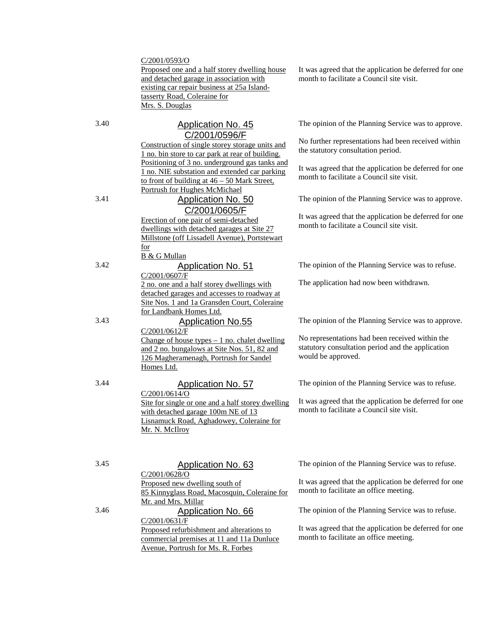#### C/2001/0593/O

Proposed one and a half storey dwelling house and detached garage in association with existing car repair business at 25a Islandtasserty Road, Coleraine for Mrs. S. Douglas

## 3.40 Application No. 45 C/2001/0596/F

Construction of single storey storage units and 1 no. bin store to car park at rear of building. Positioning of 3 no. underground gas tanks and 1 no. NIE substation and extended car parking to front of building at  $46 - 50$  Mark Street, Portrush for Hughes McMichael

# 3.41 Application No. 50 C/2001/0605/F

Erection of one pair of semi-detached dwellings with detached garages at Site 27 Millstone (off Lissadell Avenue), Portstewart for B & G Mullan

## 3.42 Application No. 51

C/2001/0607/F 2 no. one and a half storey dwellings with detached garages and accesses to roadway at Site Nos. 1 and 1a Gransden Court, Coleraine for Landbank Homes Ltd.

## 3.43 Application No.55

C/2001/0612/F Change of house types  $-1$  no. chalet dwelling and 2 no. bungalows at Site Nos. 51, 82 and 126 Magheramenagh, Portrush for Sandel Homes Ltd.

### 3.44 Application No. 57

C/2001/0614/O Site for single or one and a half storey dwelling with detached garage 100m NE of 13 Lisnamuck Road, Aghadowey, Coleraine for Mr. N. McIlroy

3.45 Application No. 63

C/2001/0628/O Proposed new dwelling south of 85 Kinnyglass Road, Macosquin, Coleraine for Mr. and Mrs. Millar 3.46 Application No. 66 C/2001/0631/F Proposed refurbishment and alterations to commercial premises at 11 and 11a Dunluce

Avenue, Portrush for Ms. R. Forbes

It was agreed that the application be deferred for one month to facilitate a Council site visit.

The opinion of the Planning Service was to approve.

No further representations had been received within the statutory consultation period.

It was agreed that the application be deferred for one month to facilitate a Council site visit.

The opinion of the Planning Service was to approve.

It was agreed that the application be deferred for one month to facilitate a Council site visit.

The opinion of the Planning Service was to refuse.

The application had now been withdrawn.

The opinion of the Planning Service was to approve.

No representations had been received within the statutory consultation period and the application would be approved.

The opinion of the Planning Service was to refuse.

It was agreed that the application be deferred for one month to facilitate a Council site visit.

The opinion of the Planning Service was to refuse.

It was agreed that the application be deferred for one month to facilitate an office meeting.

The opinion of the Planning Service was to refuse.

It was agreed that the application be deferred for one month to facilitate an office meeting.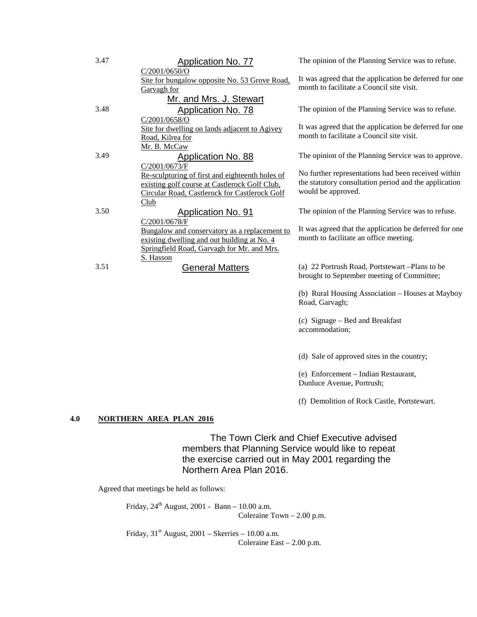| 3.47 | <b>Application No. 77</b>                       | The opinion of the Planning Service was to refuse.     |
|------|-------------------------------------------------|--------------------------------------------------------|
|      | C/2001/0650/O                                   |                                                        |
|      | Site for bungalow opposite No. 53 Grove Road,   | It was agreed that the application be deferred for one |
|      | Garvagh for                                     | month to facilitate a Council site visit.              |
|      | Mr. and Mrs. J. Stewart                         |                                                        |
| 3.48 | Application No. 78                              | The opinion of the Planning Service was to refuse.     |
|      | C/2001/0658/O                                   |                                                        |
|      | Site for dwelling on lands adjacent to Agivey   | It was agreed that the application be deferred for one |
|      | Road, Kilrea for                                | month to facilitate a Council site visit.              |
|      | Mr. B. McCaw                                    |                                                        |
| 3.49 | Application No. 88                              | The opinion of the Planning Service was to approve.    |
|      | C/2001/0673/F                                   |                                                        |
|      | Re-sculpturing of first and eighteenth holes of | No further representations had been received within    |
|      | existing golf course at Castlerock Golf Club,   | the statutory consultation period and the application  |
|      | Circular Road, Castlerock for Castlerock Golf   | would be approved.                                     |
|      | Club                                            |                                                        |
| 3.50 | <b>Application No. 91</b>                       | The opinion of the Planning Service was to refuse.     |
|      | C/2001/0678/F                                   |                                                        |
|      | Bungalow and conservatory as a replacement to   | It was agreed that the application be deferred for one |
|      | existing dwelling and out building at No. 4     | month to facilitate an office meeting.                 |
|      | Springfield Road, Garvagh for Mr. and Mrs.      |                                                        |
|      | S. Hasson                                       |                                                        |
| 3.51 | General Matters                                 | (a) 22 Portrush Road, Portstewart - Plans to be        |
|      |                                                 | brought to September meeting of Committee;             |

(b) Rural Housing Association – Houses at Mayboy Road, Garvagh;

(c) Signage – Bed and Breakfast accommodation;

(d) Sale of approved sites in the country;

(e) Enforcement – Indian Restaurant, Dunluce Avenue, Portrush;

(f) Demolition of Rock Castle, Portstewart.

#### **4.0 NORTHERN AREA PLAN 2016**

The Town Clerk and Chief Executive advised members that Planning Service would like to repeat the exercise carried out in May 2001 regarding the Northern Area Plan 2016.

Agreed that meetings be held as follows:

Friday,  $24^{\rm th}$  August, 2001 - Bann – 10.00 a.m. Coleraine Town – 2.00 p.m.

Friday,  $31<sup>st</sup>$  August,  $2001$  – Skerries – 10.00 a.m. Coleraine East – 2.00 p.m.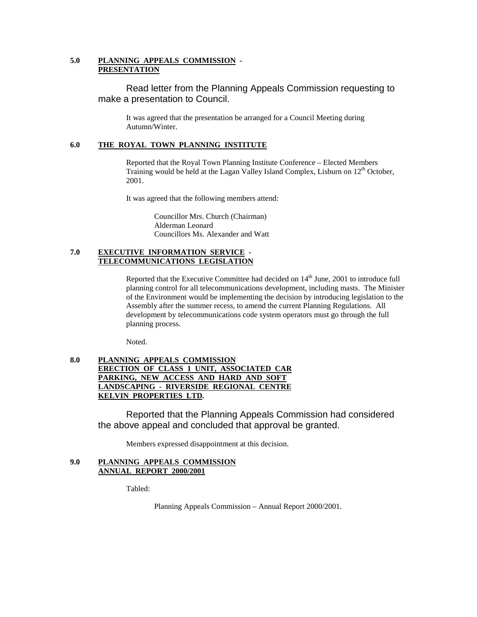#### **5.0 PLANNING APPEALS COMMISSION - PRESENTATION**

Read letter from the Planning Appeals Commission requesting to make a presentation to Council.

It was agreed that the presentation be arranged for a Council Meeting during Autumn/Winter.

#### **6.0 THE ROYAL TOWN PLANNING INSTITUTE**

Reported that the Royal Town Planning Institute Conference – Elected Members Training would be held at the Lagan Valley Island Complex, Lisburn on 12th October, 2001.

It was agreed that the following members attend:

Councillor Mrs. Church (Chairman) Alderman Leonard Councillors Ms. Alexander and Watt

#### **7.0 EXECUTIVE INFORMATION SERVICE - TELECOMMUNICATIONS LEGISLATION**

Reported that the Executive Committee had decided on  $14<sup>th</sup>$  June, 2001 to introduce full planning control for all telecommunications development, including masts. The Minister of the Environment would be implementing the decision by introducing legislation to the Assembly after the summer recess, to amend the current Planning Regulations. All development by telecommunications code system operators must go through the full planning process.

Noted.

#### **8.0 PLANNING APPEALS COMMISSION ERECTION OF CLASS 1 UNIT, ASSOCIATED CAR PARKING, NEW ACCESS AND HARD AND SOFT LANDSCAPING - RIVERSIDE REGIONAL CENTRE KELVIN PROPERTIES LTD.**

Reported that the Planning Appeals Commission had considered the above appeal and concluded that approval be granted.

Members expressed disappointment at this decision.

#### **9.0 PLANNING APPEALS COMMISSION ANNUAL REPORT 2000/2001**

Tabled:

Planning Appeals Commission – Annual Report 2000/2001.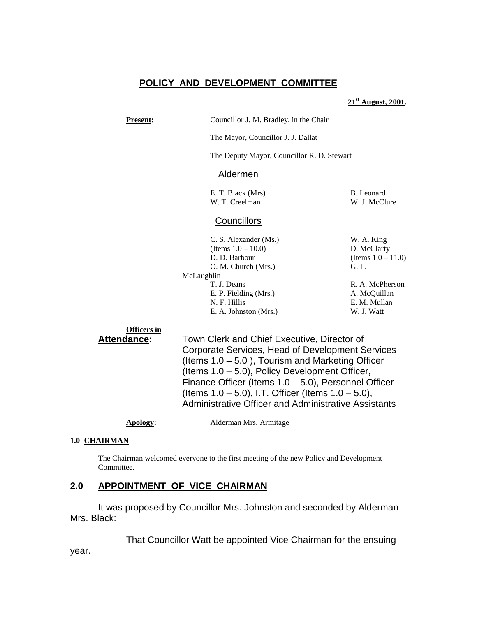# **POLICY AND DEVELOPMENT COMMITTEE**

#### **21st August, 2001.**

**Present:** Councillor J. M. Bradley, in the Chair

The Mayor, Councillor J. J. Dallat

The Deputy Mayor, Councillor R. D. Stewart

#### Aldermen

E. T. Black (Mrs) B. Leonard W. T. Creelman W. J. McClure

## **Councillors**

| W. A. King            |
|-----------------------|
| D. McClarty           |
| (Items $1.0 - 11.0$ ) |
| G. L.                 |
|                       |
| R. A. McPherson       |
| A. McQuillan          |
| E. M. Mullan          |
| W. J. Watt            |
|                       |

#### **Officers in**

**Attendance:** Town Clerk and Chief Executive, Director of Corporate Services, Head of Development Services (Items 1.0 – 5.0 ), Tourism and Marketing Officer (Items 1.0 – 5.0), Policy Development Officer, Finance Officer (Items 1.0 – 5.0), Personnel Officer (Items 1.0 – 5.0), I.T. Officer (Items 1.0 – 5.0), Administrative Officer and Administrative Assistants

| Apology: | Alderman Mrs. Armitage |
|----------|------------------------|
|----------|------------------------|

#### **1.0 CHAIRMAN**

The Chairman welcomed everyone to the first meeting of the new Policy and Development Committee.

## **2.0 APPOINTMENT OF VICE CHAIRMAN**

It was proposed by Councillor Mrs. Johnston and seconded by Alderman Mrs. Black:

That Councillor Watt be appointed Vice Chairman for the ensuing

year.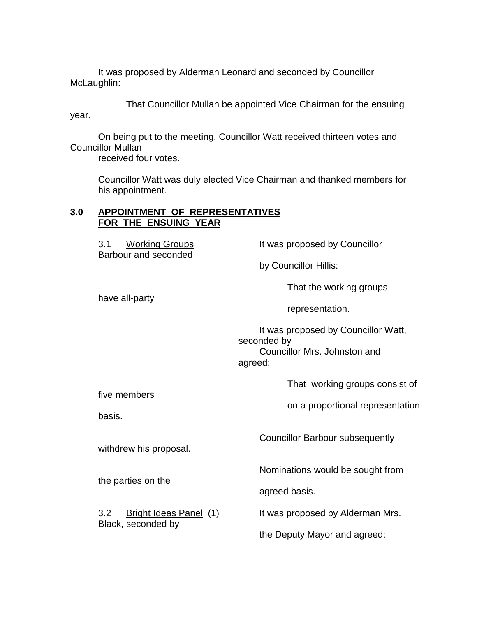It was proposed by Alderman Leonard and seconded by Councillor McLaughlin:

That Councillor Mullan be appointed Vice Chairman for the ensuing year.

On being put to the meeting, Councillor Watt received thirteen votes and Councillor Mullan

received four votes.

Councillor Watt was duly elected Vice Chairman and thanked members for his appointment.

## **3.0 APPOINTMENT OF REPRESENTATIVES FOR THE ENSUING YEAR**

| It was proposed by Councillor                                                                 |
|-----------------------------------------------------------------------------------------------|
| by Councillor Hillis:                                                                         |
| That the working groups                                                                       |
| representation.                                                                               |
| It was proposed by Councillor Watt,<br>seconded by<br>Councillor Mrs. Johnston and<br>agreed: |
| That working groups consist of                                                                |
| on a proportional representation                                                              |
| <b>Councillor Barbour subsequently</b>                                                        |
| Nominations would be sought from                                                              |
| agreed basis.                                                                                 |
| It was proposed by Alderman Mrs.                                                              |
| the Deputy Mayor and agreed:                                                                  |
|                                                                                               |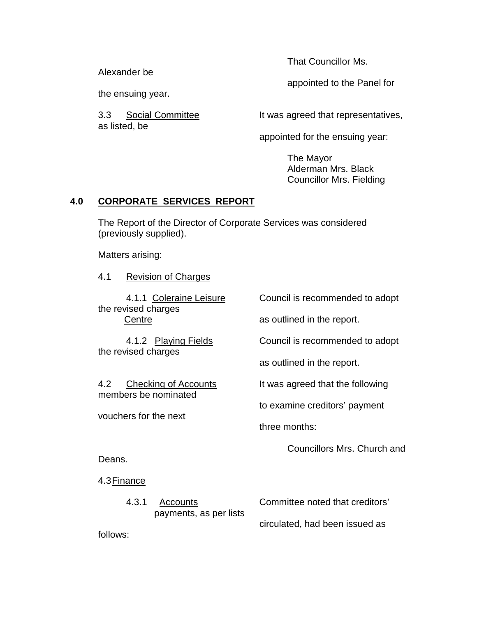Alexander be

the ensuing year.

as listed, be

That Councillor Ms.

appointed to the Panel for

3.3 Social Committee **It was agreed that representatives**,

appointed for the ensuing year:

The Mayor Alderman Mrs. Black Councillor Mrs. Fielding

## **4.0 CORPORATE SERVICES REPORT**

The Report of the Director of Corporate Services was considered (previously supplied).

Matters arising:

4.1 Revision of Charges

the revised charges

the revised charges

members be nominated

vouchers for the next

4.1.1 Coleraine Leisure Council is recommended to adopt

Centre **Centre** as outlined in the report.

4.1.2 Playing Fields Council is recommended to adopt

as outlined in the report.

4.2 Checking of Accounts It was agreed that the following

to examine creditors' payment

three months:

Councillors Mrs. Church and

Deans.

4.3 Finance

| 4.3.1 | Accounts               | Committee noted that creditors' |
|-------|------------------------|---------------------------------|
|       | payments, as per lists |                                 |
|       |                        | circulated, had been issued as  |

follows: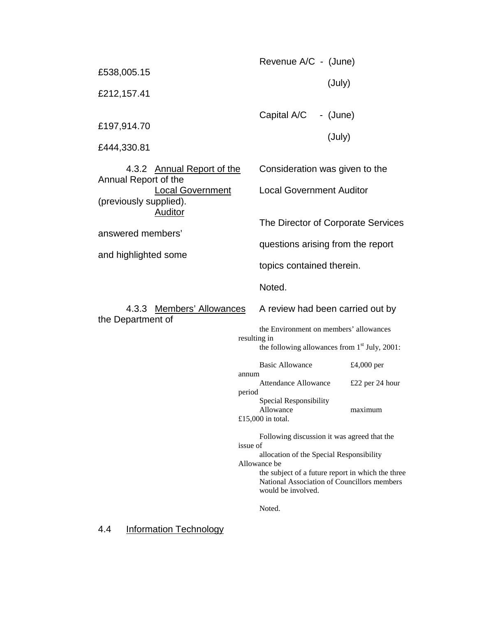| £538,005.15<br>£212,157.41                                                                                                                                             |                                 | Revenue A/C - (June)<br>(July)                                                                                                                                                                                                                        |                                          |
|------------------------------------------------------------------------------------------------------------------------------------------------------------------------|---------------------------------|-------------------------------------------------------------------------------------------------------------------------------------------------------------------------------------------------------------------------------------------------------|------------------------------------------|
| £197,914.70<br>£444,330.81                                                                                                                                             |                                 | Capital A/C - (June)<br>(July)                                                                                                                                                                                                                        |                                          |
| 4.3.2 Annual Report of the<br>Annual Report of the<br><b>Local Government</b><br>(previously supplied).<br><b>Auditor</b><br>answered members'<br>and highlighted some |                                 | Consideration was given to the<br><b>Local Government Auditor</b><br>The Director of Corporate Services<br>questions arising from the report<br>topics contained therein.                                                                             |                                          |
| 4.3.3 Members' Allowances<br>the Department of                                                                                                                         | resulting in<br>annum<br>period | Noted.<br>A review had been carried out by<br>the Environment on members' allowances<br>the following allowances from $1st$ July, 2001:<br><b>Basic Allowance</b><br>Attendance Allowance<br>Special Responsibility<br>Allowance<br>£15,000 in total. | £4,000 per<br>£22 per 24 hour<br>maximum |
|                                                                                                                                                                        | issue of                        | Following discussion it was agreed that the<br>allocation of the Special Responsibility<br>Allowance be<br>the subject of a future report in which the three<br>National Association of Councillors members<br>would be involved.<br>Noted.           |                                          |

4.4 Information Technology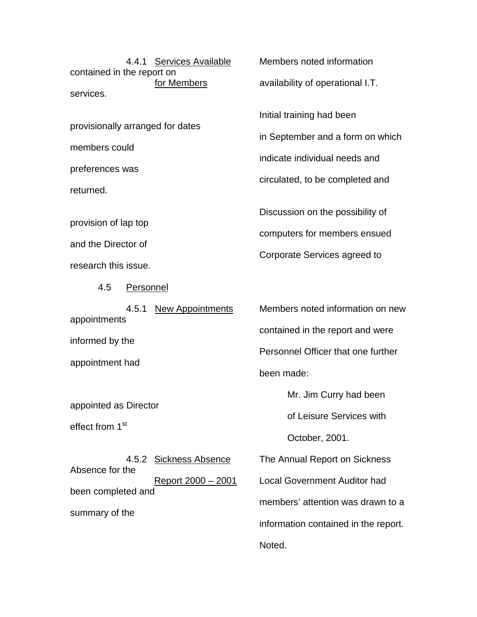contained in the report on services.

provisionally arranged for dates

members could

preferences was

returned.

provision of lap top

and the Director of

research this issue.

4.5 Personnel

appointments informed by the appointment had

appointed as Director

effect from 1<sup>st</sup>

4.5.2 Sickness Absence The Annual Report on Sickness Absence for the been completed and summary of the

4.4.1 Services Available Members noted information

for Members availability of operational I.T.

Initial training had been

in September and a form on which

indicate individual needs and

circulated, to be completed and

Discussion on the possibility of computers for members ensued

Corporate Services agreed to

4.5.1 New Appointments Members noted information on new contained in the report and were Personnel Officer that one further been made:

Mr. Jim Curry had been

of Leisure Services with

October, 2001.

Report 2000 – 2001 Local Government Auditor had members' attention was drawn to a information contained in the report. Noted.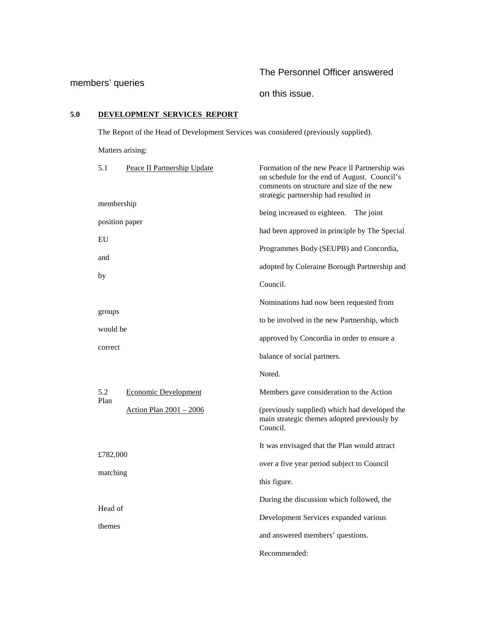# The Personnel Officer answered

# members' queries

on this issue.

# **5.0 DEVELOPMENT SERVICES REPORT**

The Report of the Head of Development Services was considered (previously supplied).

Matters arising:

| 5.1                  | Peace II Partnership Update | Formation of the new Peace II Partnership was<br>on schedule for the end of August. Council's<br>comments on structure and size of the new<br>strategic partnership had resulted in |
|----------------------|-----------------------------|-------------------------------------------------------------------------------------------------------------------------------------------------------------------------------------|
| membership           |                             | being increased to eighteen.<br>The joint                                                                                                                                           |
| position paper       |                             | had been approved in principle by The Special                                                                                                                                       |
| EU                   |                             | Programmes Body (SEUPB) and Concordia,                                                                                                                                              |
| and                  |                             | adopted by Coleraine Borough Partnership and                                                                                                                                        |
| by                   |                             | Council.                                                                                                                                                                            |
|                      |                             | Nominations had now been requested from                                                                                                                                             |
| groups               |                             | to be involved in the new Partnership, which                                                                                                                                        |
| would be             |                             | approved by Concordia in order to ensure a                                                                                                                                          |
| correct              |                             | balance of social partners.                                                                                                                                                         |
|                      |                             | Noted.                                                                                                                                                                              |
| 5.2                  | <b>Economic Development</b> | Members gave consideration to the Action                                                                                                                                            |
| Plan                 |                             |                                                                                                                                                                                     |
|                      | Action Plan 2001 - 2006     | (previously supplied) which had developed the<br>main strategic themes adopted previously by<br>Council.                                                                            |
|                      |                             | It was envisaged that the Plan would attract                                                                                                                                        |
| £782,000<br>matching |                             | over a five year period subject to Council                                                                                                                                          |
|                      |                             | this figure.                                                                                                                                                                        |
| Head of              |                             | During the discussion which followed, the                                                                                                                                           |
|                      |                             | Development Services expanded various                                                                                                                                               |
| themes               |                             | and answered members' questions.                                                                                                                                                    |
|                      |                             | Recommended:                                                                                                                                                                        |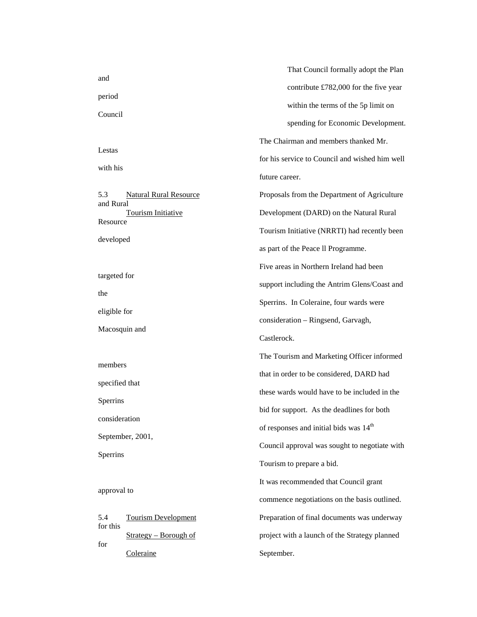|                              |                               | That Council formally adopt the Plan               |
|------------------------------|-------------------------------|----------------------------------------------------|
| and                          |                               | contribute £782,000 for the five year              |
| period<br>Council            |                               | within the terms of the 5p limit on                |
|                              |                               | spending for Economic Development.                 |
|                              |                               | The Chairman and members thanked Mr.               |
| Lestas                       |                               | for his service to Council and wished him well     |
| with his                     |                               | future career.                                     |
| 5.3                          | <b>Natural Rural Resource</b> | Proposals from the Department of Agriculture       |
| and Rural                    | <b>Tourism Initiative</b>     | Development (DARD) on the Natural Rural            |
| Resource                     |                               | Tourism Initiative (NRRTI) had recently been       |
| developed                    |                               | as part of the Peace II Programme.                 |
|                              |                               | Five areas in Northern Ireland had been            |
| targeted for                 |                               | support including the Antrim Glens/Coast and       |
| the                          |                               | Sperrins. In Coleraine, four wards were            |
| eligible for                 |                               | consideration - Ringsend, Garvagh,                 |
| Macosquin and                |                               | Castlerock.                                        |
|                              |                               | The Tourism and Marketing Officer informed         |
| members                      |                               | that in order to be considered, DARD had           |
| specified that               |                               | these wards would have to be included in the       |
| Sperrins                     |                               | bid for support. As the deadlines for both         |
| consideration                |                               | of responses and initial bids was 14 <sup>th</sup> |
| September, 2001,<br>Sperrins |                               | Council approval was sought to negotiate with      |
|                              |                               |                                                    |
|                              |                               | Tourism to prepare a bid.                          |
| approval to                  |                               | It was recommended that Council grant              |
|                              |                               | commence negotiations on the basis outlined.       |
| 5.4<br>for this              | <b>Tourism Development</b>    | Preparation of final documents was underway        |
| for                          | Strategy – Borough of         | project with a launch of the Strategy planned      |
|                              | Coleraine                     | September.                                         |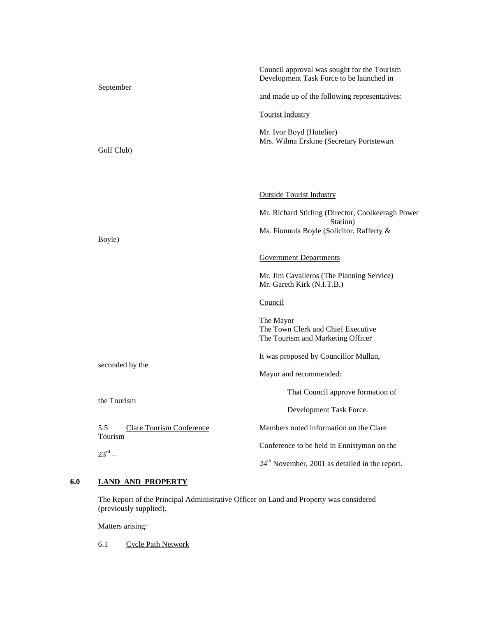|                                                   | Council approval was sought for the Tourism<br>Development Task Force to be launched in |
|---------------------------------------------------|-----------------------------------------------------------------------------------------|
| September                                         | and made up of the following representatives:                                           |
|                                                   | <b>Tourist Industry</b>                                                                 |
| Golf Club)                                        | Mr. Ivor Boyd (Hotelier)<br>Mrs. Wilma Erskine (Secretary Portstewart                   |
|                                                   |                                                                                         |
|                                                   | <b>Outside Tourist Industry</b>                                                         |
|                                                   | Mr. Richard Stirling (Director, Coolkeeragh Power<br>Station)                           |
| Boyle)                                            | Ms. Fionnula Boyle (Solicitor, Rafferty &                                               |
|                                                   | <b>Government Departments</b>                                                           |
|                                                   | Mr. Jim Cavalleros (The Planning Service)<br>Mr. Gareth Kirk (N.I.T.B.)                 |
|                                                   | Council                                                                                 |
|                                                   | The Mayor<br>The Town Clerk and Chief Executive<br>The Tourism and Marketing Officer    |
|                                                   | It was proposed by Councillor Mullan,                                                   |
| seconded by the                                   | Mayor and recommended:                                                                  |
| the Tourism                                       | That Council approve formation of                                                       |
|                                                   | Development Task Force.                                                                 |
| 5.5<br><b>Clare Tourism Conference</b><br>Tourism | Members noted information on the Clare                                                  |
| $23^{\text{rd}}$ –                                | Conference to be held in Ennistymon on the                                              |
|                                                   | $24th$ November, 2001 as detailed in the report.                                        |

#### **6.0 LAND AND PROPERTY**

The Report of the Principal Administrative Officer on Land and Property was considered (previously supplied).

Matters arising:

6.1 Cycle Path Network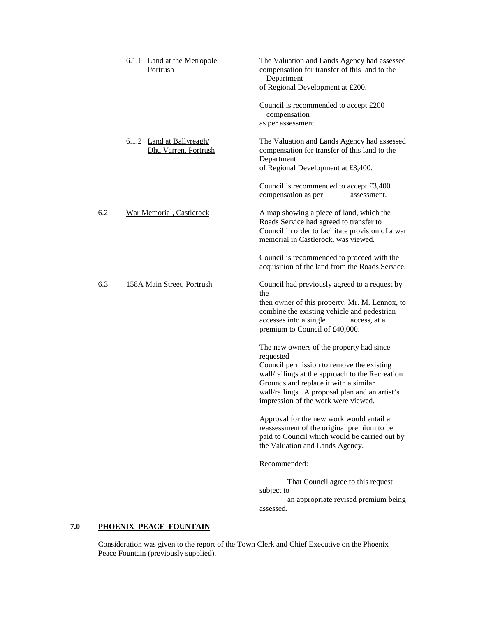|     | 6.1.1 Land at the Metropole,<br>Portrush          | The Valuation and Lands Agency had assessed<br>compensation for transfer of this land to the<br>Department<br>of Regional Development at £200.                                                                                                                                          |
|-----|---------------------------------------------------|-----------------------------------------------------------------------------------------------------------------------------------------------------------------------------------------------------------------------------------------------------------------------------------------|
|     |                                                   | Council is recommended to accept £200<br>compensation<br>as per assessment.                                                                                                                                                                                                             |
|     | 6.1.2 Land at Ballyreagh/<br>Dhu Varren, Portrush | The Valuation and Lands Agency had assessed<br>compensation for transfer of this land to the<br>Department<br>of Regional Development at £3,400.                                                                                                                                        |
|     |                                                   | Council is recommended to accept $£3,400$<br>compensation as per<br>assessment.                                                                                                                                                                                                         |
| 6.2 | War Memorial, Castlerock                          | A map showing a piece of land, which the<br>Roads Service had agreed to transfer to<br>Council in order to facilitate provision of a war<br>memorial in Castlerock, was viewed.                                                                                                         |
|     |                                                   | Council is recommended to proceed with the<br>acquisition of the land from the Roads Service.                                                                                                                                                                                           |
| 6.3 | 158A Main Street, Portrush                        | Council had previously agreed to a request by<br>the<br>then owner of this property, Mr. M. Lennox, to<br>combine the existing vehicle and pedestrian<br>accesses into a single<br>access, at a<br>premium to Council of £40,000.                                                       |
|     |                                                   | The new owners of the property had since<br>requested<br>Council permission to remove the existing<br>wall/railings at the approach to the Recreation<br>Grounds and replace it with a similar<br>wall/railings. A proposal plan and an artist's<br>impression of the work were viewed. |
|     |                                                   | Approval for the new work would entail a<br>reassessment of the original premium to be<br>paid to Council which would be carried out by<br>the Valuation and Lands Agency.                                                                                                              |
|     |                                                   | Recommended:                                                                                                                                                                                                                                                                            |
|     |                                                   | That Council agree to this request<br>subject to<br>an appropriate revised premium being<br>assessed.                                                                                                                                                                                   |
|     |                                                   |                                                                                                                                                                                                                                                                                         |

## **7.0 PHOENIX PEACE FOUNTAIN**

Consideration was given to the report of the Town Clerk and Chief Executive on the Phoenix Peace Fountain (previously supplied).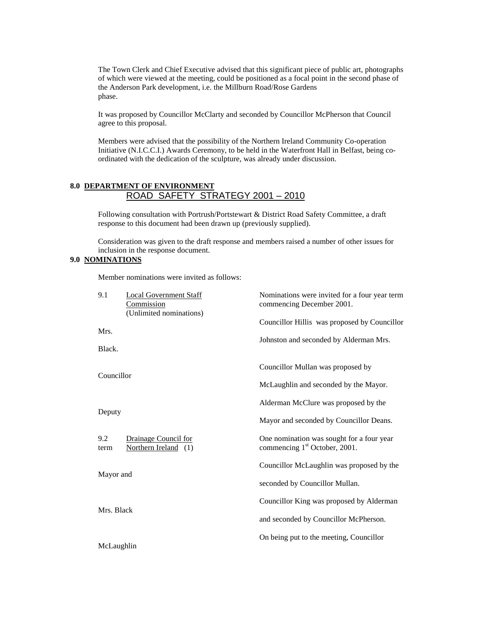The Town Clerk and Chief Executive advised that this significant piece of public art, photographs of which were viewed at the meeting, could be positioned as a focal point in the second phase of the Anderson Park development, i.e. the Millburn Road/Rose Gardens phase.

It was proposed by Councillor McClarty and seconded by Councillor McPherson that Council agree to this proposal.

Members were advised that the possibility of the Northern Ireland Community Co-operation Initiative (N.I.C.C.I.) Awards Ceremony, to be held in the Waterfront Hall in Belfast, being coordinated with the dedication of the sculpture, was already under discussion.

## **8.0 DEPARTMENT OF ENVIRONMENT** ROAD SAFETY STRATEGY 2001 – 2010

Following consultation with Portrush/Portstewart & District Road Safety Committee, a draft response to this document had been drawn up (previously supplied).

Consideration was given to the draft response and members raised a number of other issues for inclusion in the response document.

#### **9.0 NOMINATIONS**

Member nominations were invited as follows:

| 9.1<br><b>Local Government Staff</b><br><b>Commission</b><br>(Unlimited nominations) | Nominations were invited for a four year term<br>commencing December 2001.             |
|--------------------------------------------------------------------------------------|----------------------------------------------------------------------------------------|
| Mrs.<br>Black.                                                                       | Councillor Hillis was proposed by Councillor<br>Johnston and seconded by Alderman Mrs. |
| Councillor                                                                           | Councillor Mullan was proposed by<br>McLaughlin and seconded by the Mayor.             |
| Deputy                                                                               | Alderman McClure was proposed by the<br>Mayor and seconded by Councillor Deans.        |
| 9.2<br>Drainage Council for<br>Northern Ireland (1)<br>term                          | One nomination was sought for a four year<br>commencing 1 <sup>st</sup> October, 2001. |
| Mayor and                                                                            | Councillor McLaughlin was proposed by the<br>seconded by Councillor Mullan.            |
| Mrs. Black                                                                           | Councillor King was proposed by Alderman<br>and seconded by Councillor McPherson.      |
| McLaughlin                                                                           | On being put to the meeting, Councillor                                                |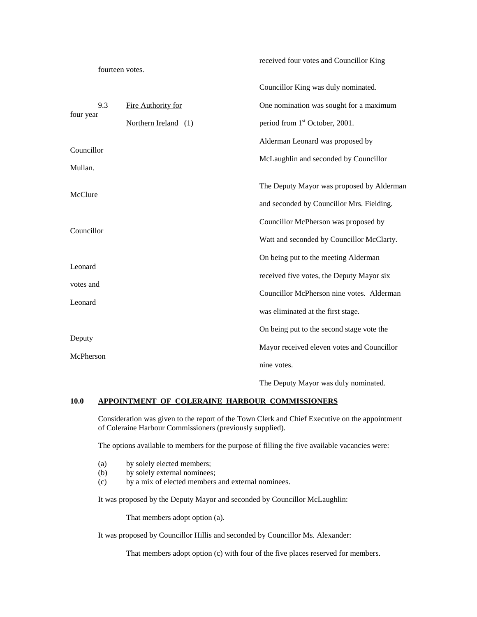|                      | fourteen votes.      | received four votes and Councillor King    |
|----------------------|----------------------|--------------------------------------------|
|                      |                      | Councillor King was duly nominated.        |
| 9.3<br>four year     | Fire Authority for   | One nomination was sought for a maximum    |
|                      | Northern Ireland (1) | period from 1 <sup>st</sup> October, 2001. |
| Councillor           |                      | Alderman Leonard was proposed by           |
| Mullan.              |                      | McLaughlin and seconded by Councillor      |
| McClure              |                      | The Deputy Mayor was proposed by Alderman  |
|                      |                      | and seconded by Councillor Mrs. Fielding.  |
|                      |                      | Councillor McPherson was proposed by       |
| Councillor           |                      | Watt and seconded by Councillor McClarty.  |
|                      |                      | On being put to the meeting Alderman       |
| Leonard              |                      | received five votes, the Deputy Mayor six  |
| votes and<br>Leonard |                      | Councillor McPherson nine votes. Alderman  |
|                      |                      | was eliminated at the first stage.         |
|                      |                      | On being put to the second stage vote the  |
| Deputy               |                      | Mayor received eleven votes and Councillor |
| McPherson            |                      | nine votes.                                |
|                      |                      |                                            |

The Deputy Mayor was duly nominated.

## **10.0 APPOINTMENT OF COLERAINE HARBOUR COMMISSIONERS**

Consideration was given to the report of the Town Clerk and Chief Executive on the appointment of Coleraine Harbour Commissioners (previously supplied).

The options available to members for the purpose of filling the five available vacancies were:

- (a) by solely elected members;
- (b) by solely external nominees;
- (c) by a mix of elected members and external nominees.

It was proposed by the Deputy Mayor and seconded by Councillor McLaughlin:

That members adopt option (a).

It was proposed by Councillor Hillis and seconded by Councillor Ms. Alexander:

That members adopt option (c) with four of the five places reserved for members.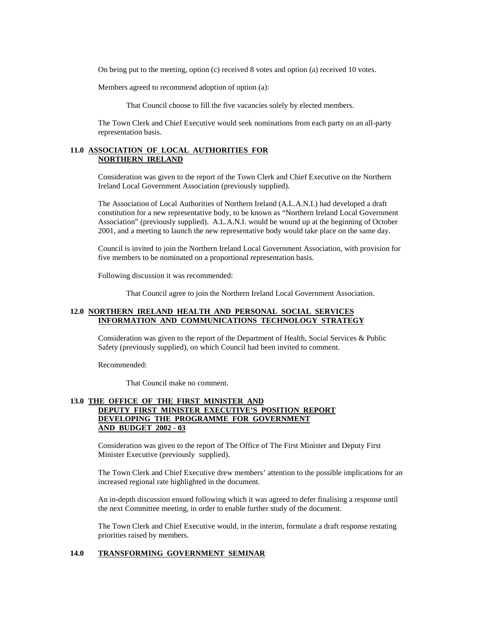On being put to the meeting, option (c) received 8 votes and option (a) received 10 votes.

Members agreed to recommend adoption of option (a):

That Council choose to fill the five vacancies solely by elected members.

The Town Clerk and Chief Executive would seek nominations from each party on an all-party representation basis.

## **11.0 ASSOCIATION OF LOCAL AUTHORITIES FOR NORTHERN IRELAND**

Consideration was given to the report of the Town Clerk and Chief Executive on the Northern Ireland Local Government Association (previously supplied).

The Association of Local Authorities of Northern Ireland (A.L.A.N.I.) had developed a draft constitution for a new representative body, to be known as "Northern Ireland Local Government Association" (previously supplied). A.L.A.N.I. would be wound up at the beginning of October 2001, and a meeting to launch the new representative body would take place on the same day.

Council is invited to join the Northern Ireland Local Government Association, with provision for five members to be nominated on a proportional representation basis.

Following discussion it was recommended:

That Council agree to join the Northern Ireland Local Government Association.

## **12.0 NORTHERN IRELAND HEALTH AND PERSONAL SOCIAL SERVICES INFORMATION AND COMMUNICATIONS TECHNOLOGY STRATEGY**

Consideration was given to the report of the Department of Health, Social Services & Public Safety (previously supplied), on which Council had been invited to comment.

Recommended:

That Council make no comment.

## **13.0 THE OFFICE OF THE FIRST MINISTER AND DEPUTY FIRST MINISTER EXECUTIVE'S POSITION REPORT DEVELOPING THE PROGRAMME FOR GOVERNMENT AND BUDGET 2002 - 03**

Consideration was given to the report of The Office of The First Minister and Deputy First Minister Executive (previously supplied).

The Town Clerk and Chief Executive drew members' attention to the possible implications for an increased regional rate highlighted in the document.

An in-depth discussion ensued following which it was agreed to defer finalising a response until the next Committee meeting, in order to enable further study of the document.

The Town Clerk and Chief Executive would, in the interim, formulate a draft response restating priorities raised by members.

### **14.0 TRANSFORMING GOVERNMENT SEMINAR**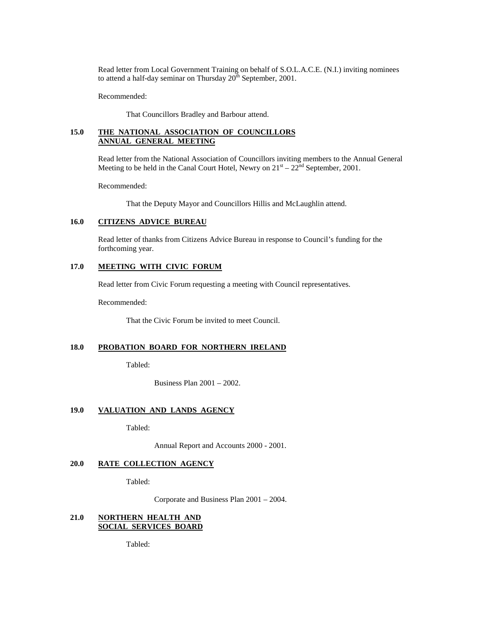Read letter from Local Government Training on behalf of S.O.L.A.C.E. (N.I.) inviting nominees to attend a half-day seminar on Thursday  $20^{th}$  September, 2001.

Recommended:

That Councillors Bradley and Barbour attend.

## **15.0 THE NATIONAL ASSOCIATION OF COUNCILLORS ANNUAL GENERAL MEETING**

Read letter from the National Association of Councillors inviting members to the Annual General Meeting to be held in the Canal Court Hotel, Newry on  $21<sup>st</sup> - 22<sup>nd</sup>$  September, 2001.

Recommended:

That the Deputy Mayor and Councillors Hillis and McLaughlin attend.

### **16.0 CITIZENS ADVICE BUREAU**

Read letter of thanks from Citizens Advice Bureau in response to Council's funding for the forthcoming year.

# **17.0 MEETING WITH CIVIC FORUM**

Read letter from Civic Forum requesting a meeting with Council representatives.

Recommended:

That the Civic Forum be invited to meet Council.

## **18.0 PROBATION BOARD FOR NORTHERN IRELAND**

Tabled:

Business Plan 2001 – 2002.

### **19.0 VALUATION AND LANDS AGENCY**

Tabled:

Annual Report and Accounts 2000 - 2001.

#### **20.0 RATE COLLECTION AGENCY**

Tabled:

Corporate and Business Plan 2001 – 2004.

# **21.0 NORTHERN HEALTH AND SOCIAL SERVICES BOARD**

Tabled: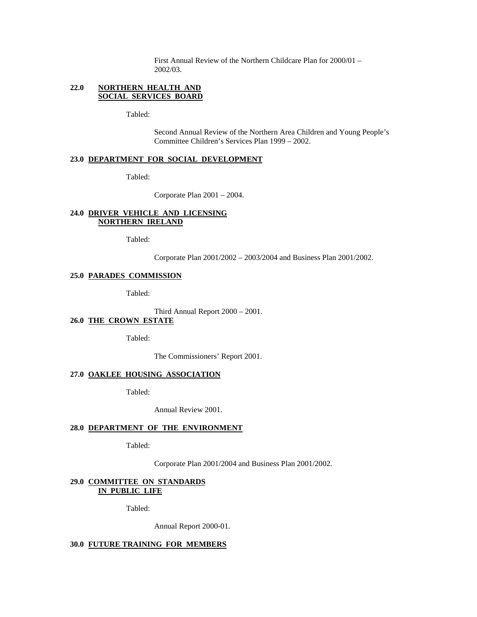First Annual Review of the Northern Childcare Plan for 2000/01 – 2002/03.

## **22.0 NORTHERN HEALTH AND SOCIAL SERVICES BOARD**

Tabled:

Second Annual Review of the Northern Area Children and Young People's Committee Children's Services Plan 1999 – 2002.

# **23.0 DEPARTMENT FOR SOCIAL DEVELOPMENT**

Tabled:

Corporate Plan 2001 – 2004.

## **24.0 DRIVER VEHICLE AND LICENSING NORTHERN IRELAND**

Tabled:

Corporate Plan 2001/2002 – 2003/2004 and Business Plan 2001/2002.

## **25.0 PARADES COMMISSION**

Tabled:

Third Annual Report 2000 – 2001.

# **26.0 THE CROWN ESTATE**

Tabled:

The Commissioners' Report 2001.

## **27.0 OAKLEE HOUSING ASSOCIATION**

Tabled:

Annual Review 2001.

## **28.0 DEPARTMENT OF THE ENVIRONMENT**

Tabled:

Corporate Plan 2001/2004 and Business Plan 2001/2002.

### **29.0 COMMITTEE ON STANDARDS IN PUBLIC LIFE**

Tabled:

Annual Report 2000-01.

**30.0 FUTURE TRAINING FOR MEMBERS**